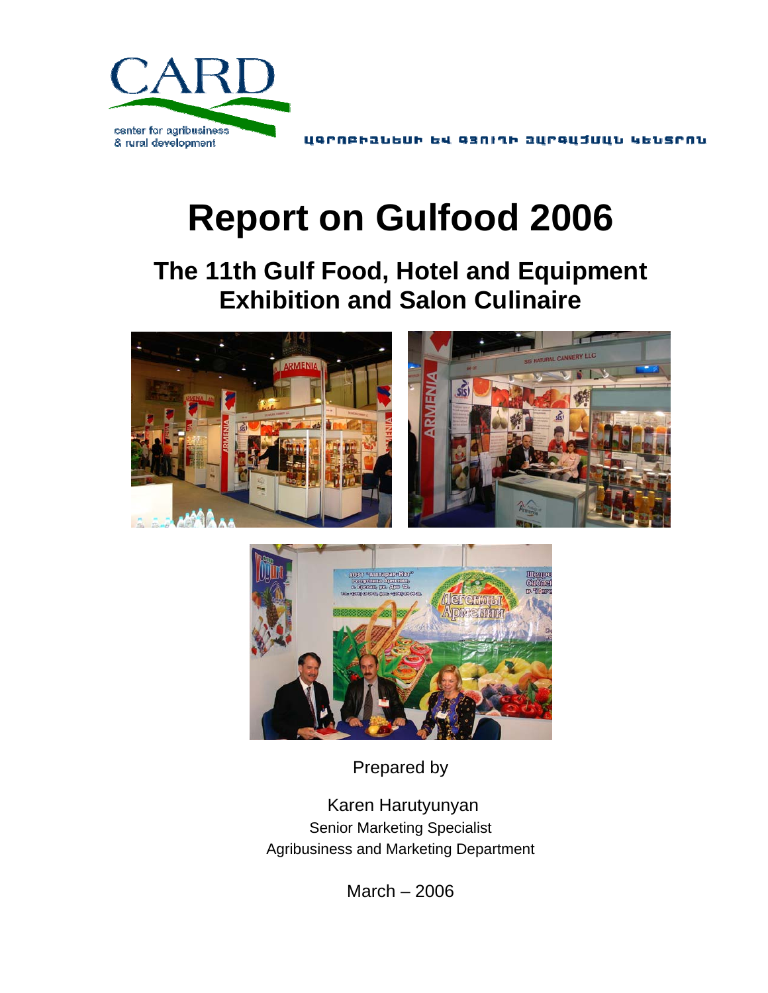

# **Report on Gulfood 2006**

**The 11th Gulf Food, Hotel and Equipment Exhibition and Salon Culinaire** 





Prepared by

 Karen Harutyunyan Senior Marketing Specialist Agribusiness and Marketing Department

March – 2006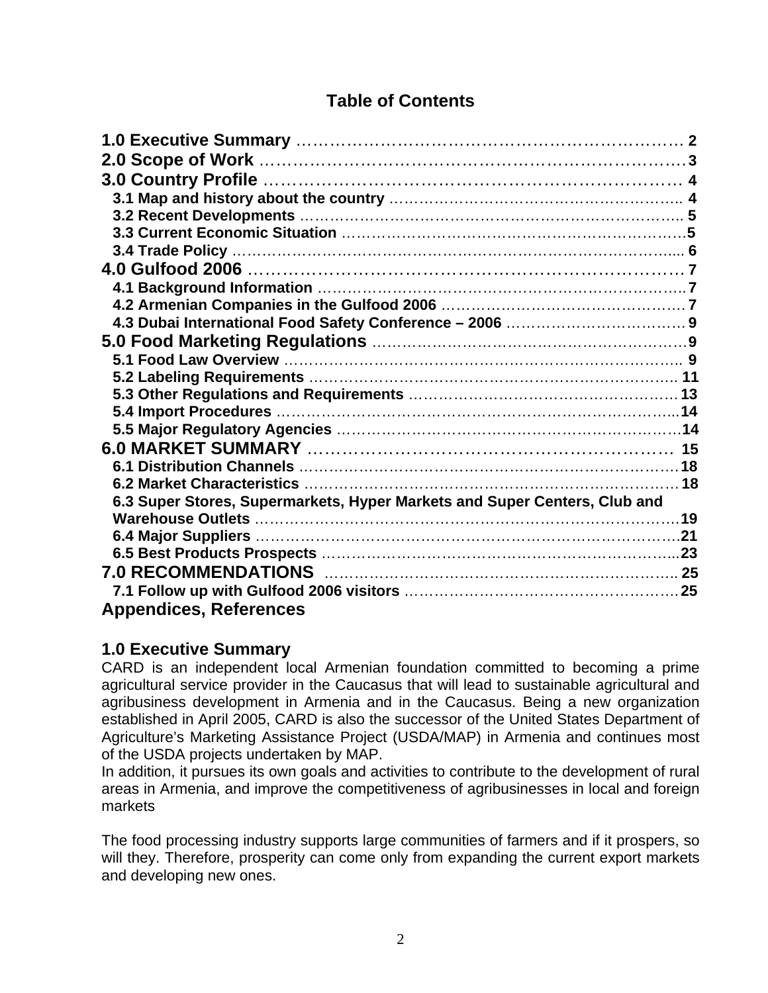# **Table of Contents**

| 6.3 Super Stores, Supermarkets, Hyper Markets and Super Centers, Club and |  |
|---------------------------------------------------------------------------|--|
|                                                                           |  |
|                                                                           |  |
|                                                                           |  |
|                                                                           |  |
|                                                                           |  |
| <b>Appendices, References</b>                                             |  |

# **1.0 Executive Summary**

CARD is an independent local Armenian foundation committed to becoming a prime agricultural service provider in the Caucasus that will lead to sustainable agricultural and agribusiness development in Armenia and in the Caucasus. Being a new organization established in April 2005, CARD is also the successor of the United States Department of Agriculture's Marketing Assistance Project (USDA/MAP) in Armenia and continues most of the USDA projects undertaken by MAP.

In addition, it pursues its own goals and activities to contribute to the development of rural areas in Armenia, and improve the competitiveness of agribusinesses in local and foreign markets

The food processing industry supports large communities of farmers and if it prospers, so will they. Therefore, prosperity can come only from expanding the current export markets and developing new ones.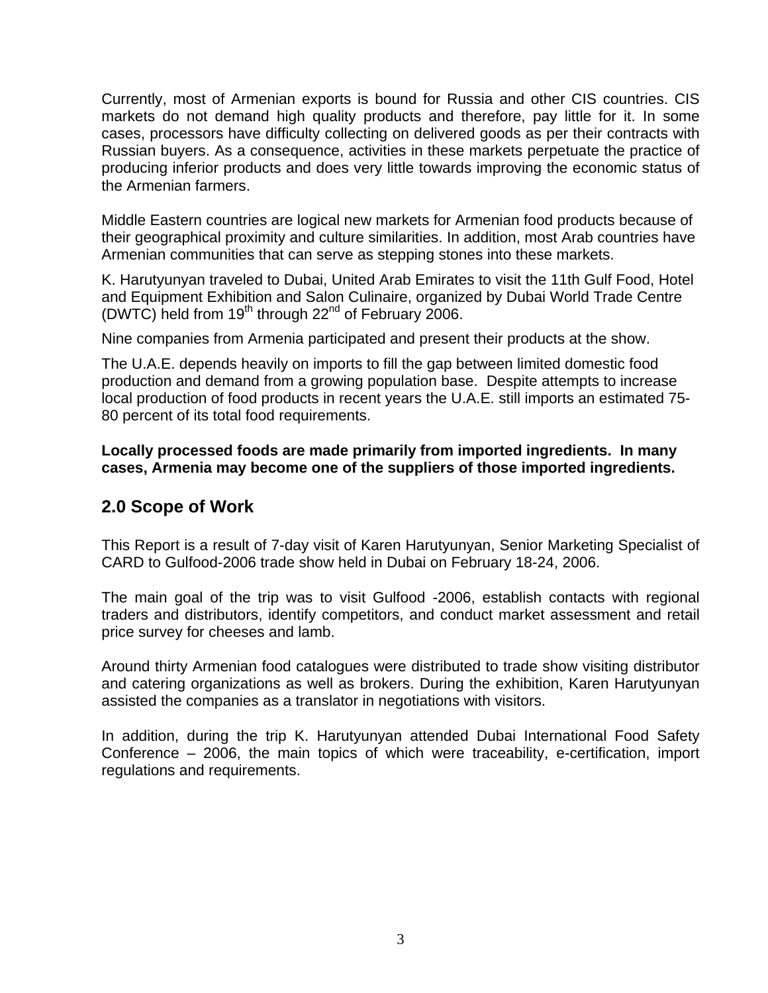Currently, most of Armenian exports is bound for Russia and other CIS countries. CIS markets do not demand high quality products and therefore, pay little for it. In some cases, processors have difficulty collecting on delivered goods as per their contracts with Russian buyers. As a consequence, activities in these markets perpetuate the practice of producing inferior products and does very little towards improving the economic status of the Armenian farmers.

Middle Eastern countries are logical new markets for Armenian food products because of their geographical proximity and culture similarities. In addition, most Arab countries have Armenian communities that can serve as stepping stones into these markets.

K. Harutyunyan traveled to Dubai, United Arab Emirates to visit the 11th Gulf Food, Hotel and Equipment Exhibition and Salon Culinaire, organized by Dubai World Trade Centre (DWTC) held from  $19<sup>th</sup>$  through 22<sup>nd</sup> of February 2006.

Nine companies from Armenia participated and present their products at the show.

The U.A.E. depends heavily on imports to fill the gap between limited domestic food production and demand from a growing population base. Despite attempts to increase local production of food products in recent years the U.A.E. still imports an estimated 75- 80 percent of its total food requirements.

**Locally processed foods are made primarily from imported ingredients. In many cases, Armenia may become one of the suppliers of those imported ingredients.**

# **2.0 Scope of Work**

This Report is a result of 7-day visit of Karen Harutyunyan, Senior Marketing Specialist of CARD to Gulfood-2006 trade show held in Dubai on February 18-24, 2006.

The main goal of the trip was to visit Gulfood -2006, establish contacts with regional traders and distributors, identify competitors, and conduct market assessment and retail price survey for cheeses and lamb.

Around thirty Armenian food catalogues were distributed to trade show visiting distributor and catering organizations as well as brokers. During the exhibition, Karen Harutyunyan assisted the companies as a translator in negotiations with visitors.

In addition, during the trip K. Harutyunyan attended Dubai International Food Safety Conference – 2006, the main topics of which were traceability, e-certification, import regulations and requirements.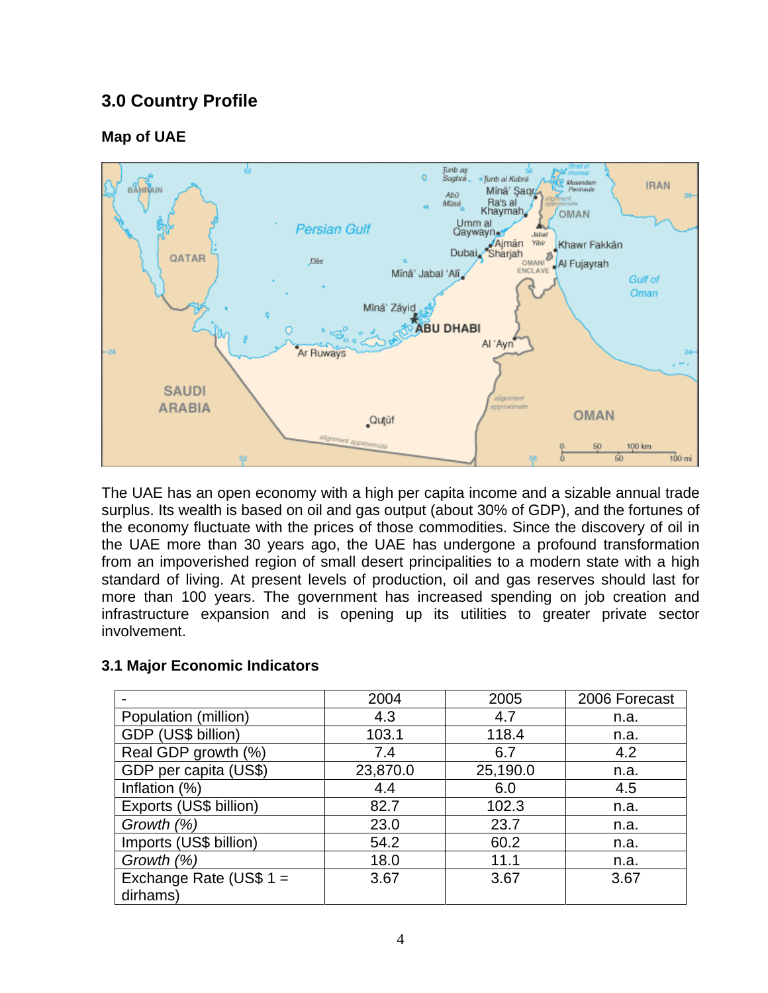# **3.0 Country Profile**

# **Map of UAE**



The UAE has an open economy with a high per capita income and a sizable annual trade surplus. Its wealth is based on oil and gas output (about 30% of GDP), and the fortunes of the economy fluctuate with the prices of those commodities. Since the discovery of oil in the UAE more than 30 years ago, the UAE has undergone a profound transformation from an impoverished region of small desert principalities to a modern state with a high standard of living. At present levels of production, oil and gas reserves should last for more than 100 years. The government has increased spending on job creation and infrastructure expansion and is opening up its utilities to greater private sector involvement.

|                           | 2004     | 2005     | 2006 Forecast |
|---------------------------|----------|----------|---------------|
| Population (million)      | 4.3      | 4.7      | n.a.          |
| GDP (US\$ billion)        | 103.1    | 118.4    | n.a.          |
| Real GDP growth (%)       | 7.4      | 6.7      | 4.2           |
| GDP per capita (US\$)     | 23,870.0 | 25,190.0 | n.a.          |
| Inflation (%)             | 4.4      | 6.0      | 4.5           |
| Exports (US\$ billion)    | 82.7     | 102.3    | n.a.          |
| Growth (%)                | 23.0     | 23.7     | n.a.          |
| Imports (US\$ billion)    | 54.2     | 60.2     | n.a.          |
| Growth (%)                | 18.0     | 11.1     | n.a.          |
| Exchange Rate (US\$ $1 =$ | 3.67     | 3.67     | 3.67          |
| dirhams)                  |          |          |               |

## **3.1 Major Economic Indicators**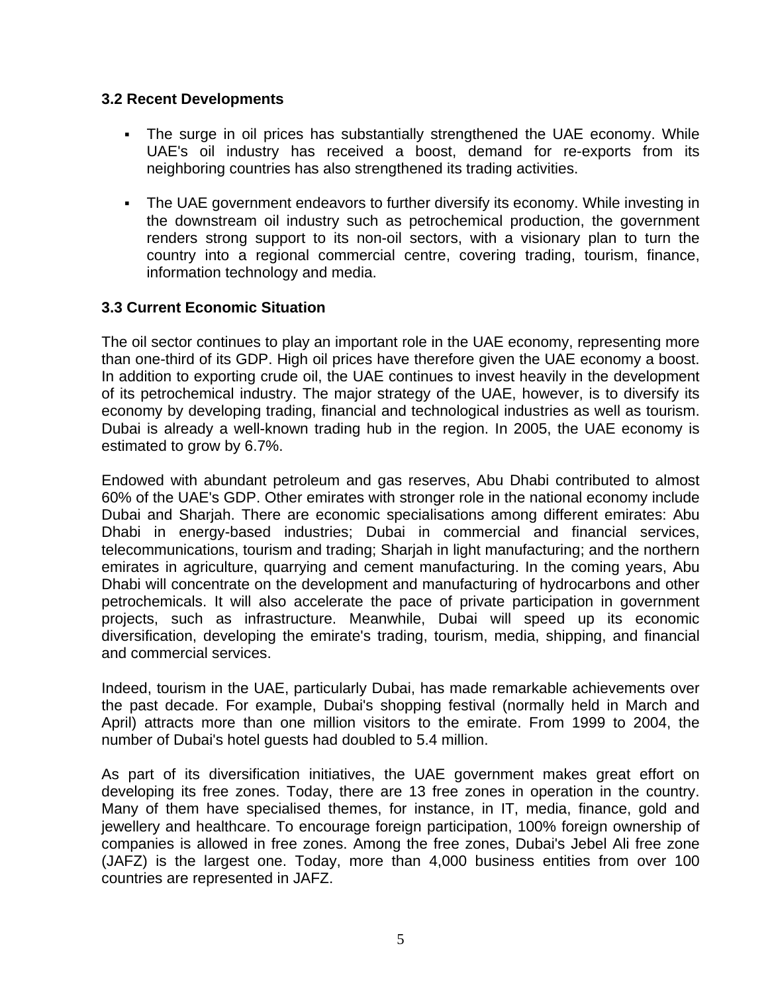## **3.2 Recent Developments**

- The surge in oil prices has substantially strengthened the UAE economy. While UAE's oil industry has received a boost, demand for re-exports from its neighboring countries has also strengthened its trading activities.
- The UAE government endeavors to further diversify its economy. While investing in the downstream oil industry such as petrochemical production, the government renders strong support to its non-oil sectors, with a visionary plan to turn the country into a regional commercial centre, covering trading, tourism, finance, information technology and media.

# **3.3 Current Economic Situation**

The oil sector continues to play an important role in the UAE economy, representing more than one-third of its GDP. High oil prices have therefore given the UAE economy a boost. In addition to exporting crude oil, the UAE continues to invest heavily in the development of its petrochemical industry. The major strategy of the UAE, however, is to diversify its economy by developing trading, financial and technological industries as well as tourism. Dubai is already a well-known trading hub in the region. In 2005, the UAE economy is estimated to grow by 6.7%.

Endowed with abundant petroleum and gas reserves, Abu Dhabi contributed to almost 60% of the UAE's GDP. Other emirates with stronger role in the national economy include Dubai and Sharjah. There are economic specialisations among different emirates: Abu Dhabi in energy-based industries; Dubai in commercial and financial services, telecommunications, tourism and trading; Sharjah in light manufacturing; and the northern emirates in agriculture, quarrying and cement manufacturing. In the coming years, Abu Dhabi will concentrate on the development and manufacturing of hydrocarbons and other petrochemicals. It will also accelerate the pace of private participation in government projects, such as infrastructure. Meanwhile, Dubai will speed up its economic diversification, developing the emirate's trading, tourism, media, shipping, and financial and commercial services.

Indeed, tourism in the UAE, particularly Dubai, has made remarkable achievements over the past decade. For example, Dubai's shopping festival (normally held in March and April) attracts more than one million visitors to the emirate. From 1999 to 2004, the number of Dubai's hotel guests had doubled to 5.4 million.

As part of its diversification initiatives, the UAE government makes great effort on developing its free zones. Today, there are 13 free zones in operation in the country. Many of them have specialised themes, for instance, in IT, media, finance, gold and jewellery and healthcare. To encourage foreign participation, 100% foreign ownership of companies is allowed in free zones. Among the free zones, Dubai's Jebel Ali free zone (JAFZ) is the largest one. Today, more than 4,000 business entities from over 100 countries are represented in JAFZ.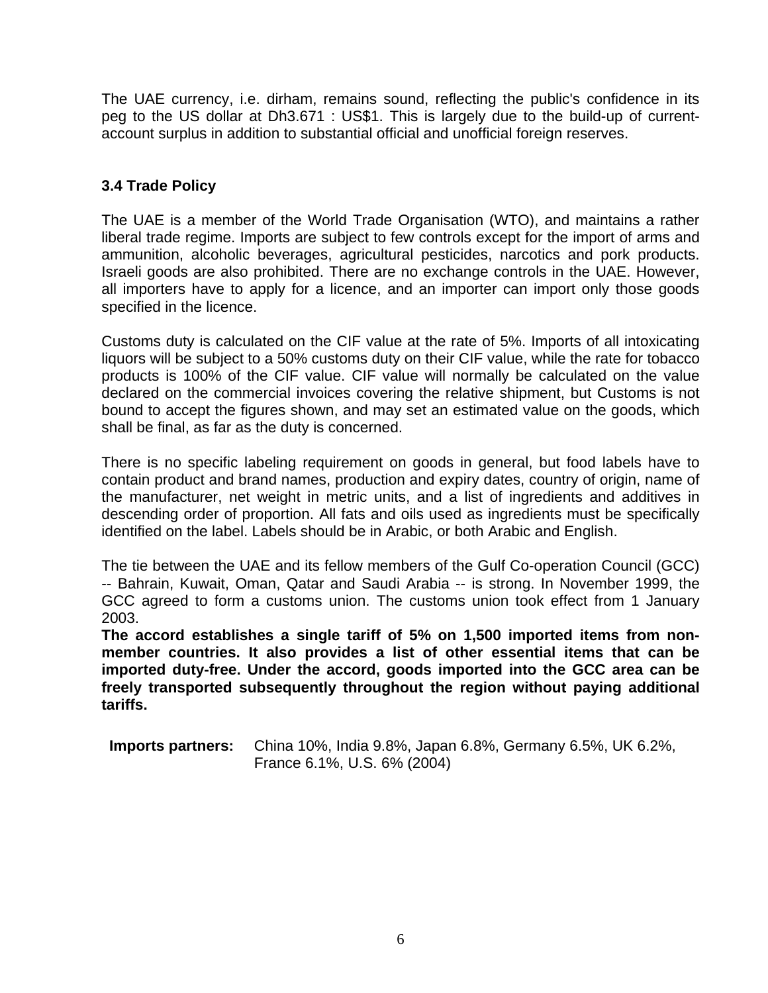The UAE currency, i.e. dirham, remains sound, reflecting the public's confidence in its peg to the US dollar at Dh3.671 : US\$1. This is largely due to the build-up of currentaccount surplus in addition to substantial official and unofficial foreign reserves.

# **3.4 Trade Policy**

The UAE is a member of the World Trade Organisation (WTO), and maintains a rather liberal trade regime. Imports are subject to few controls except for the import of arms and ammunition, alcoholic beverages, agricultural pesticides, narcotics and pork products. Israeli goods are also prohibited. There are no exchange controls in the UAE. However, all importers have to apply for a licence, and an importer can import only those goods specified in the licence.

Customs duty is calculated on the CIF value at the rate of 5%. Imports of all intoxicating liquors will be subject to a 50% customs duty on their CIF value, while the rate for tobacco products is 100% of the CIF value. CIF value will normally be calculated on the value declared on the commercial invoices covering the relative shipment, but Customs is not bound to accept the figures shown, and may set an estimated value on the goods, which shall be final, as far as the duty is concerned.

There is no specific labeling requirement on goods in general, but food labels have to contain product and brand names, production and expiry dates, country of origin, name of the manufacturer, net weight in metric units, and a list of ingredients and additives in descending order of proportion. All fats and oils used as ingredients must be specifically identified on the label. Labels should be in Arabic, or both Arabic and English.

The tie between the UAE and its fellow members of the Gulf Co-operation Council (GCC) -- Bahrain, Kuwait, Oman, Qatar and Saudi Arabia -- is strong. In November 1999, the GCC agreed to form a customs union. The customs union took effect from 1 January 2003.

**The accord establishes a single tariff of 5% on 1,500 imported items from nonmember countries. It also provides a list of other essential items that can be imported duty-free. Under the accord, goods imported into the GCC area can be freely transported subsequently throughout the region without paying additional tariffs.** 

**Imports partners:** China 10%, India 9.8%, Japan 6.8%, Germany 6.5%, UK 6.2%, France 6.1%, U.S. 6% (2004)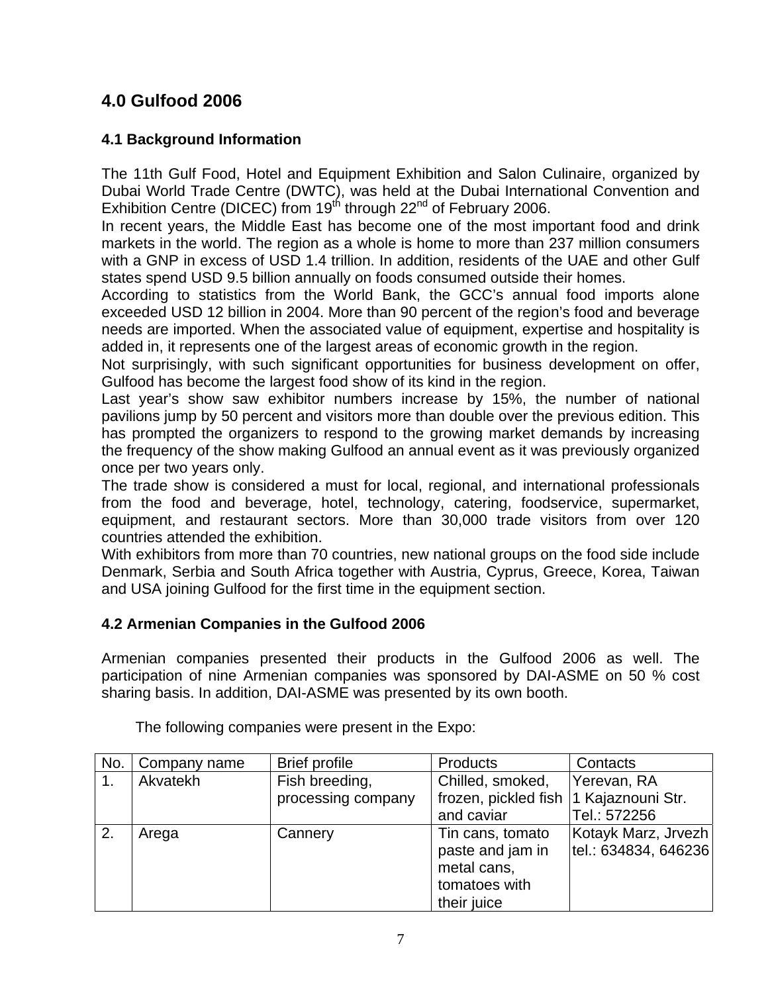# **4.0 Gulfood 2006**

# **4.1 Background Information**

The 11th Gulf Food, Hotel and Equipment Exhibition and Salon Culinaire, organized by Dubai World Trade Centre (DWTC), was held at the Dubai International Convention and Exhibition Centre (DICEC) from  $19<sup>th</sup>$  through 22<sup>nd</sup> of February 2006.

In recent years, the Middle East has become one of the most important food and drink markets in the world. The region as a whole is home to more than 237 million consumers with a GNP in excess of USD 1.4 trillion. In addition, residents of the UAE and other Gulf states spend USD 9.5 billion annually on foods consumed outside their homes.

According to statistics from the World Bank, the GCC's annual food imports alone exceeded USD 12 billion in 2004. More than 90 percent of the region's food and beverage needs are imported. When the associated value of equipment, expertise and hospitality is added in, it represents one of the largest areas of economic growth in the region.

Not surprisingly, with such significant opportunities for business development on offer, Gulfood has become the largest food show of its kind in the region.

Last year's show saw exhibitor numbers increase by 15%, the number of national pavilions jump by 50 percent and visitors more than double over the previous edition. This has prompted the organizers to respond to the growing market demands by increasing the frequency of the show making Gulfood an annual event as it was previously organized once per two years only.

The trade show is considered a must for local, regional, and international professionals from the food and beverage, hotel, technology, catering, foodservice, supermarket, equipment, and restaurant sectors. More than 30,000 trade visitors from over 120 countries attended the exhibition.

With exhibitors from more than 70 countries, new national groups on the food side include Denmark, Serbia and South Africa together with Austria, Cyprus, Greece, Korea, Taiwan and USA joining Gulfood for the first time in the equipment section.

# **4.2 Armenian Companies in the Gulfood 2006**

Armenian companies presented their products in the Gulfood 2006 as well. The participation of nine Armenian companies was sponsored by DAI-ASME on 50 % cost sharing basis. In addition, DAI-ASME was presented by its own booth.

| No. | Company name | <b>Brief profile</b>                 | <b>Products</b>                                                                     | Contacts                                     |
|-----|--------------|--------------------------------------|-------------------------------------------------------------------------------------|----------------------------------------------|
|     | Akvatekh     | Fish breeding,<br>processing company | Chilled, smoked,<br>frozen, pickled fish  1 Kajaznouni Str.                         | Yerevan, RA                                  |
|     |              |                                      | and caviar                                                                          | Tel.: 572256                                 |
| 2.  | Arega        | Cannery                              | Tin cans, tomato<br>paste and jam in<br>metal cans,<br>tomatoes with<br>their juice | Kotayk Marz, Jrvezh<br> tel.: 634834, 646236 |

The following companies were present in the Expo: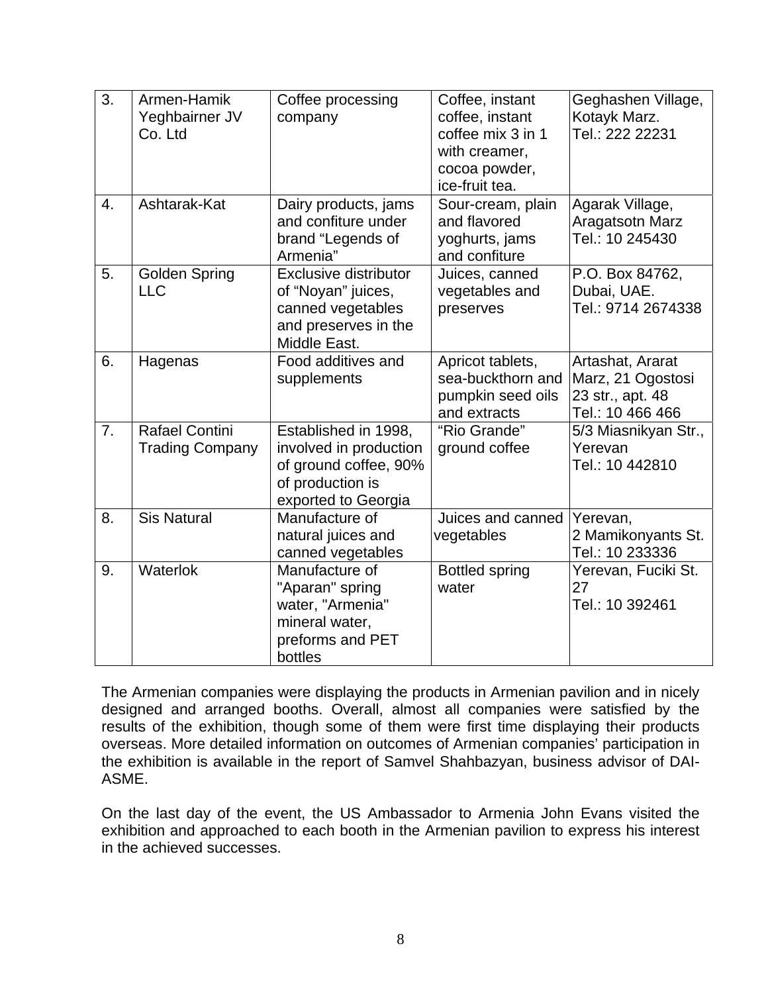| $\overline{3}$ . | Armen-Hamik<br>Yeghbairner JV<br>Co. Ltd        | Coffee processing<br>company                                                                                       | Coffee, instant<br>coffee, instant<br>coffee mix 3 in 1<br>with creamer,<br>cocoa powder,<br>ice-fruit tea. | Geghashen Village,<br>Kotayk Marz.<br>Tel.: 222 22231                         |
|------------------|-------------------------------------------------|--------------------------------------------------------------------------------------------------------------------|-------------------------------------------------------------------------------------------------------------|-------------------------------------------------------------------------------|
| 4.               | Ashtarak-Kat                                    | Dairy products, jams<br>and confiture under<br>brand "Legends of<br>Armenia"                                       | Sour-cream, plain<br>and flavored<br>yoghurts, jams<br>and confiture                                        | Agarak Village,<br>Aragatsotn Marz<br>Tel.: 10 245430                         |
| 5.               | <b>Golden Spring</b><br><b>LLC</b>              | Exclusive distributor<br>of "Noyan" juices,<br>canned vegetables<br>and preserves in the<br>Middle East.           | Juices, canned<br>vegetables and<br>preserves                                                               | P.O. Box 84762,<br>Dubai, UAE.<br>Tel.: 9714 2674338                          |
| 6.               | Hagenas                                         | Food additives and<br>supplements                                                                                  | Apricot tablets,<br>sea-buckthorn and<br>pumpkin seed oils<br>and extracts                                  | Artashat, Ararat<br>Marz, 21 Ogostosi<br>23 str., apt. 48<br>Tel.: 10 466 466 |
| 7.               | <b>Rafael Contini</b><br><b>Trading Company</b> | Established in 1998,<br>involved in production<br>of ground coffee, 90%<br>of production is<br>exported to Georgia | "Rio Grande"<br>ground coffee                                                                               | 5/3 Miasnikyan Str.,<br>Yerevan<br>Tel.: 10 442810                            |
| 8.               | <b>Sis Natural</b>                              | Manufacture of<br>natural juices and<br>canned vegetables                                                          | Juices and canned<br>vegetables                                                                             | Yerevan,<br>2 Mamikonyants St.<br>Tel.: 10 233336                             |
| 9.               | Waterlok                                        | Manufacture of<br>"Aparan" spring<br>water, "Armenia"<br>mineral water,<br>preforms and PET<br>bottles             | <b>Bottled spring</b><br>water                                                                              | Yerevan, Fuciki St.<br>27<br>Tel.: 10 392461                                  |

The Armenian companies were displaying the products in Armenian pavilion and in nicely designed and arranged booths. Overall, almost all companies were satisfied by the results of the exhibition, though some of them were first time displaying their products overseas. More detailed information on outcomes of Armenian companies' participation in the exhibition is available in the report of Samvel Shahbazyan, business advisor of DAI-ASME.

On the last day of the event, the US Ambassador to Armenia John Evans visited the exhibition and approached to each booth in the Armenian pavilion to express his interest in the achieved successes.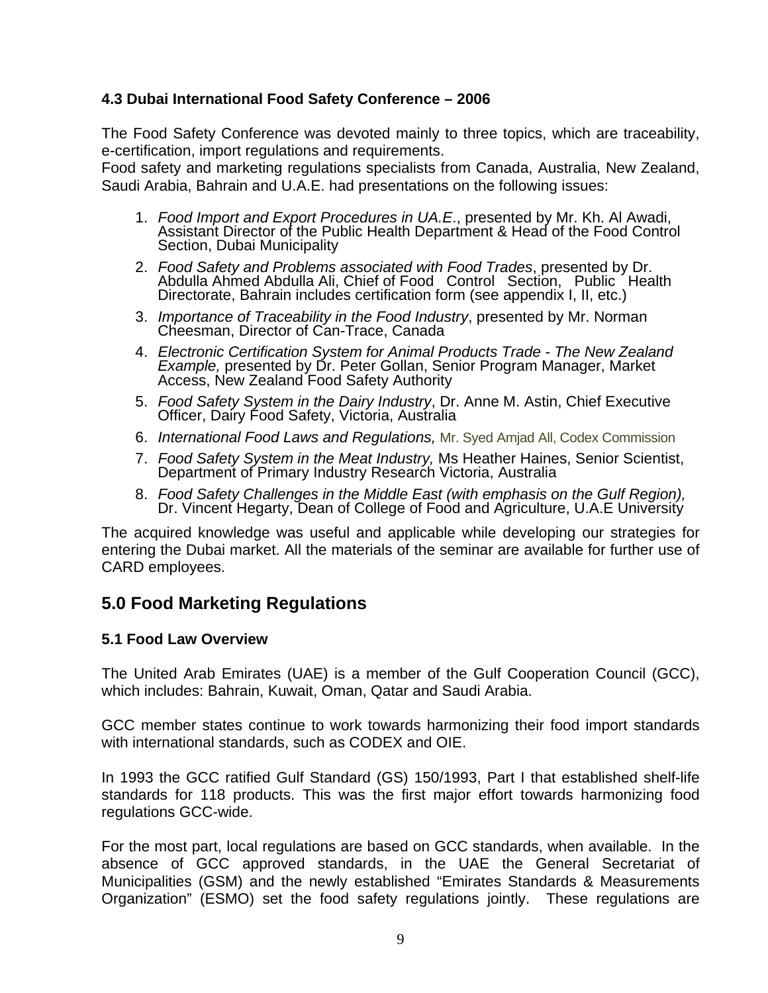## **4.3 Dubai International Food Safety Conference – 2006**

The Food Safety Conference was devoted mainly to three topics, which are traceability, e-certification, import regulations and requirements.

Food safety and marketing regulations specialists from Canada, Australia, New Zealand, Saudi Arabia, Bahrain and U.A.E. had presentations on the following issues:

- 1. *Food Import and Export Procedures in UA.E*., presented by Mr. Kh. Al Awadi, Assistant Director of the Public Health Department & Head of the Food Control Section, Dubai Municipality
- 2. *Food Safety and Problems associated with Food Trades*, presented by Dr. Abdulla Ahmed Abdulla Ali, Chief of Food Control Section, Public Health Directorate, Bahrain includes certification form (see appendix I, II, etc.)
- 3. *Importance of Traceability in the Food Industry*, presented by Mr. Norman Cheesman, Director of Can-Trace, Canada
- 4. *Electronic Certification System for Animal Products Trade The New Zealand Example,* presented by Dr. Peter Gollan, Senior Program Manager, Market Access, New Zealand Food Safety Authority
- 5. *Food Safety System in the Dairy Industry*, Dr. Anne M. Astin, Chief Executive Officer, Dairy Food Safety, Victoria, Australia
- 6. *International Food Laws and Regulations,* Mr. Syed Amjad All, Codex Commission
- 7. *Food Safety System in the Meat Industry,* Ms Heather Haines, Senior Scientist, Department of Primary Industry Research Victoria, Australia
- 8. *Food Safety Challenges in the Middle East (with emphasis on the Gulf Region),* Dr. Vincent Hegarty, Dean of College of Food and Agriculture, U.A.E University

The acquired knowledge was useful and applicable while developing our strategies for entering the Dubai market. All the materials of the seminar are available for further use of CARD employees.

# **5.0 Food Marketing Regulations**

## **5.1 Food Law Overview**

The United Arab Emirates (UAE) is a member of the Gulf Cooperation Council (GCC), which includes: Bahrain, Kuwait, Oman, Qatar and Saudi Arabia.

GCC member states continue to work towards harmonizing their food import standards with international standards, such as CODEX and OIE.

In 1993 the GCC ratified Gulf Standard (GS) 150/1993, Part I that established shelf-life standards for 118 products. This was the first major effort towards harmonizing food regulations GCC-wide.

For the most part, local regulations are based on GCC standards, when available. In the absence of GCC approved standards, in the UAE the General Secretariat of Municipalities (GSM) and the newly established "Emirates Standards & Measurements Organization" (ESMO) set the food safety regulations jointly. These regulations are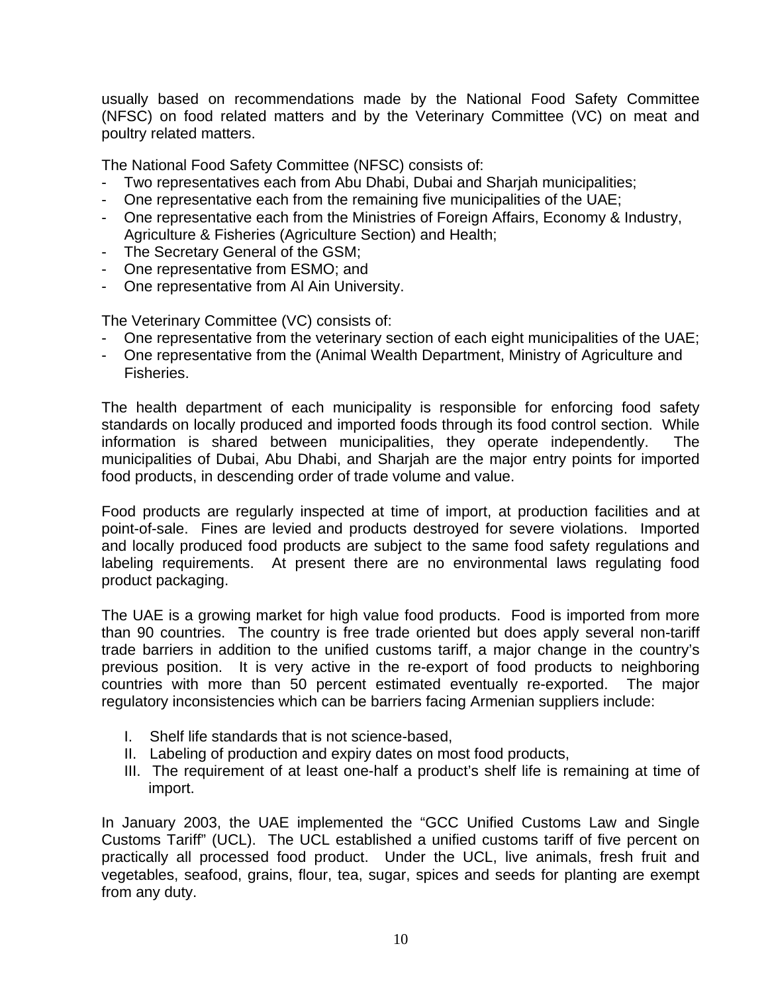usually based on recommendations made by the National Food Safety Committee (NFSC) on food related matters and by the Veterinary Committee (VC) on meat and poultry related matters.

The National Food Safety Committee (NFSC) consists of:

- Two representatives each from Abu Dhabi, Dubai and Sharjah municipalities;
- One representative each from the remaining five municipalities of the UAE;
- One representative each from the Ministries of Foreign Affairs, Economy & Industry, Agriculture & Fisheries (Agriculture Section) and Health;
- The Secretary General of the GSM;
- One representative from ESMO; and
- One representative from Al Ain University.

The Veterinary Committee (VC) consists of:

- One representative from the veterinary section of each eight municipalities of the UAE;
- One representative from the (Animal Wealth Department, Ministry of Agriculture and Fisheries.

The health department of each municipality is responsible for enforcing food safety standards on locally produced and imported foods through its food control section. While information is shared between municipalities, they operate independently. The municipalities of Dubai, Abu Dhabi, and Sharjah are the major entry points for imported food products, in descending order of trade volume and value.

Food products are regularly inspected at time of import, at production facilities and at point-of-sale. Fines are levied and products destroyed for severe violations. Imported and locally produced food products are subject to the same food safety regulations and labeling requirements. At present there are no environmental laws regulating food product packaging.

The UAE is a growing market for high value food products. Food is imported from more than 90 countries. The country is free trade oriented but does apply several non-tariff trade barriers in addition to the unified customs tariff, a major change in the country's previous position. It is very active in the re-export of food products to neighboring countries with more than 50 percent estimated eventually re-exported. The major regulatory inconsistencies which can be barriers facing Armenian suppliers include:

- I. Shelf life standards that is not science-based,
- II. Labeling of production and expiry dates on most food products,
- III. The requirement of at least one-half a product's shelf life is remaining at time of import.

In January 2003, the UAE implemented the "GCC Unified Customs Law and Single Customs Tariff" (UCL). The UCL established a unified customs tariff of five percent on practically all processed food product. Under the UCL, live animals, fresh fruit and vegetables, seafood, grains, flour, tea, sugar, spices and seeds for planting are exempt from any duty.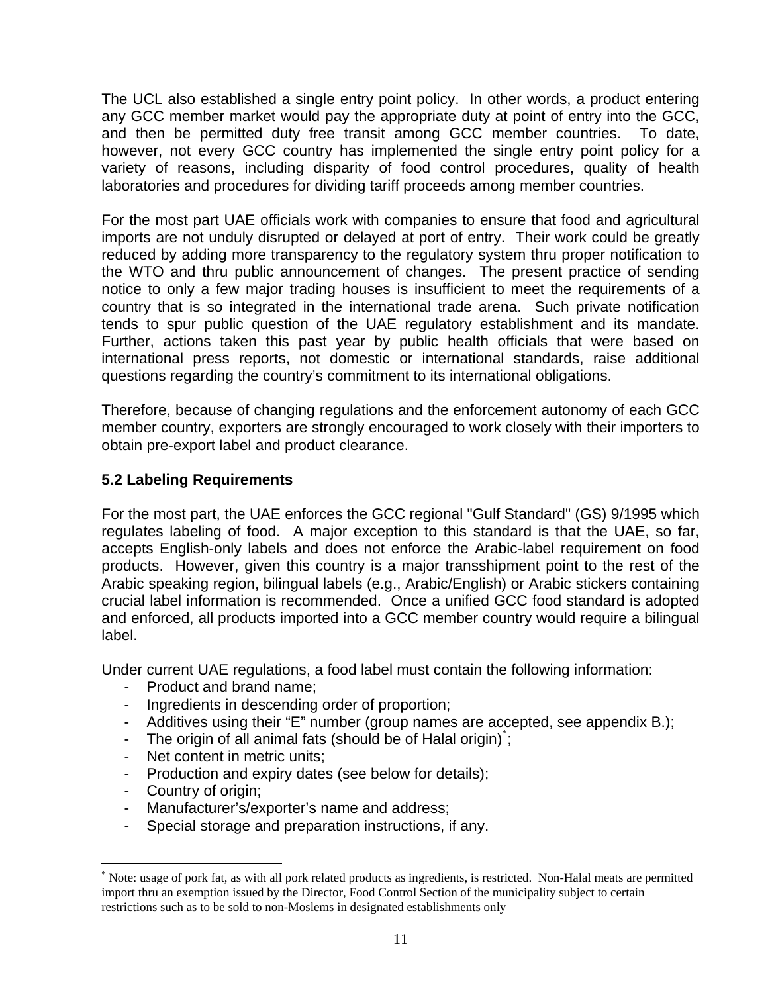The UCL also established a single entry point policy. In other words, a product entering any GCC member market would pay the appropriate duty at point of entry into the GCC, and then be permitted duty free transit among GCC member countries. To date, however, not every GCC country has implemented the single entry point policy for a variety of reasons, including disparity of food control procedures, quality of health laboratories and procedures for dividing tariff proceeds among member countries.

For the most part UAE officials work with companies to ensure that food and agricultural imports are not unduly disrupted or delayed at port of entry. Their work could be greatly reduced by adding more transparency to the regulatory system thru proper notification to the WTO and thru public announcement of changes. The present practice of sending notice to only a few major trading houses is insufficient to meet the requirements of a country that is so integrated in the international trade arena. Such private notification tends to spur public question of the UAE regulatory establishment and its mandate. Further, actions taken this past year by public health officials that were based on international press reports, not domestic or international standards, raise additional questions regarding the country's commitment to its international obligations.

Therefore, because of changing regulations and the enforcement autonomy of each GCC member country, exporters are strongly encouraged to work closely with their importers to obtain pre-export label and product clearance.

# **5.2 Labeling Requirements**

For the most part, the UAE enforces the GCC regional "Gulf Standard" (GS) 9/1995 which regulates labeling of food. A major exception to this standard is that the UAE, so far, accepts English-only labels and does not enforce the Arabic-label requirement on food products. However, given this country is a major transshipment point to the rest of the Arabic speaking region, bilingual labels (e.g., Arabic/English) or Arabic stickers containing crucial label information is recommended. Once a unified GCC food standard is adopted and enforced, all products imported into a GCC member country would require a bilingual label.

Under current UAE regulations, a food label must contain the following information:

- Product and brand name;
- Ingredients in descending order of proportion;
- Additives using their "E" number (group names are accepted, see appendix B.);
- The origin of all animal fats (should be of Halal origin);
- Net content in metric units;
- Production and expiry dates (see below for details);
- Country of origin;

 $\overline{a}$ 

- Manufacturer's/exporter's name and address;
- Special storage and preparation instructions, if any.

<span id="page-10-0"></span><sup>\*</sup> Note: usage of pork fat, as with all pork related products as ingredients, is restricted. Non-Halal meats are permitted import thru an exemption issued by the Director, Food Control Section of the municipality subject to certain restrictions such as to be sold to non-Moslems in designated establishments only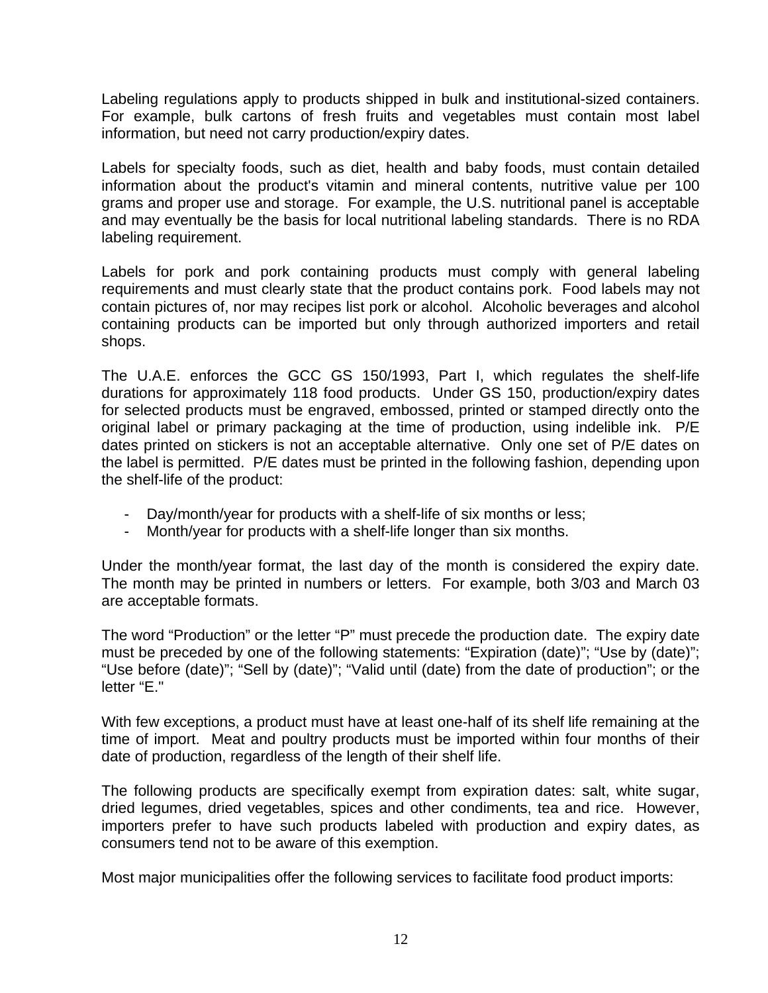Labeling regulations apply to products shipped in bulk and institutional-sized containers. For example, bulk cartons of fresh fruits and vegetables must contain most label information, but need not carry production/expiry dates.

Labels for specialty foods, such as diet, health and baby foods, must contain detailed information about the product's vitamin and mineral contents, nutritive value per 100 grams and proper use and storage. For example, the U.S. nutritional panel is acceptable and may eventually be the basis for local nutritional labeling standards. There is no RDA labeling requirement.

Labels for pork and pork containing products must comply with general labeling requirements and must clearly state that the product contains pork. Food labels may not contain pictures of, nor may recipes list pork or alcohol. Alcoholic beverages and alcohol containing products can be imported but only through authorized importers and retail shops.

The U.A.E. enforces the GCC GS 150/1993, Part I, which regulates the shelf-life durations for approximately 118 food products. Under GS 150, production/expiry dates for selected products must be engraved, embossed, printed or stamped directly onto the original label or primary packaging at the time of production, using indelible ink. P/E dates printed on stickers is not an acceptable alternative. Only one set of P/E dates on the label is permitted. P/E dates must be printed in the following fashion, depending upon the shelf-life of the product:

- Day/month/year for products with a shelf-life of six months or less;
- Month/year for products with a shelf-life longer than six months.

Under the month/year format, the last day of the month is considered the expiry date. The month may be printed in numbers or letters. For example, both 3/03 and March 03 are acceptable formats.

The word "Production" or the letter "P" must precede the production date. The expiry date must be preceded by one of the following statements: "Expiration (date)"; "Use by (date)"; "Use before (date)"; "Sell by (date)"; "Valid until (date) from the date of production"; or the letter "E."

With few exceptions, a product must have at least one-half of its shelf life remaining at the time of import. Meat and poultry products must be imported within four months of their date of production, regardless of the length of their shelf life.

The following products are specifically exempt from expiration dates: salt, white sugar, dried legumes, dried vegetables, spices and other condiments, tea and rice. However, importers prefer to have such products labeled with production and expiry dates, as consumers tend not to be aware of this exemption.

Most major municipalities offer the following services to facilitate food product imports: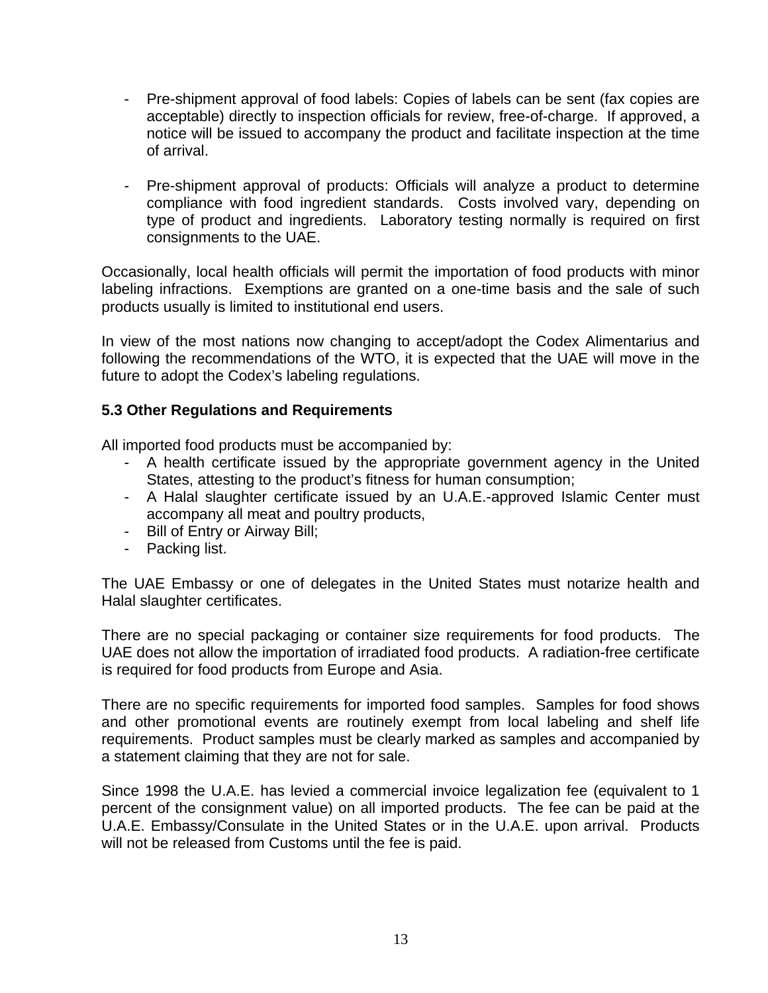- Pre-shipment approval of food labels: Copies of labels can be sent (fax copies are acceptable) directly to inspection officials for review, free-of-charge. If approved, a notice will be issued to accompany the product and facilitate inspection at the time of arrival.
- Pre-shipment approval of products: Officials will analyze a product to determine compliance with food ingredient standards. Costs involved vary, depending on type of product and ingredients. Laboratory testing normally is required on first consignments to the UAE.

Occasionally, local health officials will permit the importation of food products with minor labeling infractions. Exemptions are granted on a one-time basis and the sale of such products usually is limited to institutional end users.

In view of the most nations now changing to accept/adopt the Codex Alimentarius and following the recommendations of the WTO, it is expected that the UAE will move in the future to adopt the Codex's labeling regulations.

## **5.3 Other Regulations and Requirements**

All imported food products must be accompanied by:

- A health certificate issued by the appropriate government agency in the United States, attesting to the product's fitness for human consumption;
- A Halal slaughter certificate issued by an U.A.E.-approved Islamic Center must accompany all meat and poultry products,
- Bill of Entry or Airway Bill;
- Packing list.

The UAE Embassy or one of delegates in the United States must notarize health and Halal slaughter certificates.

There are no special packaging or container size requirements for food products. The UAE does not allow the importation of irradiated food products. A radiation-free certificate is required for food products from Europe and Asia.

There are no specific requirements for imported food samples. Samples for food shows and other promotional events are routinely exempt from local labeling and shelf life requirements. Product samples must be clearly marked as samples and accompanied by a statement claiming that they are not for sale.

Since 1998 the U.A.E. has levied a commercial invoice legalization fee (equivalent to 1 percent of the consignment value) on all imported products. The fee can be paid at the U.A.E. Embassy/Consulate in the United States or in the U.A.E. upon arrival. Products will not be released from Customs until the fee is paid.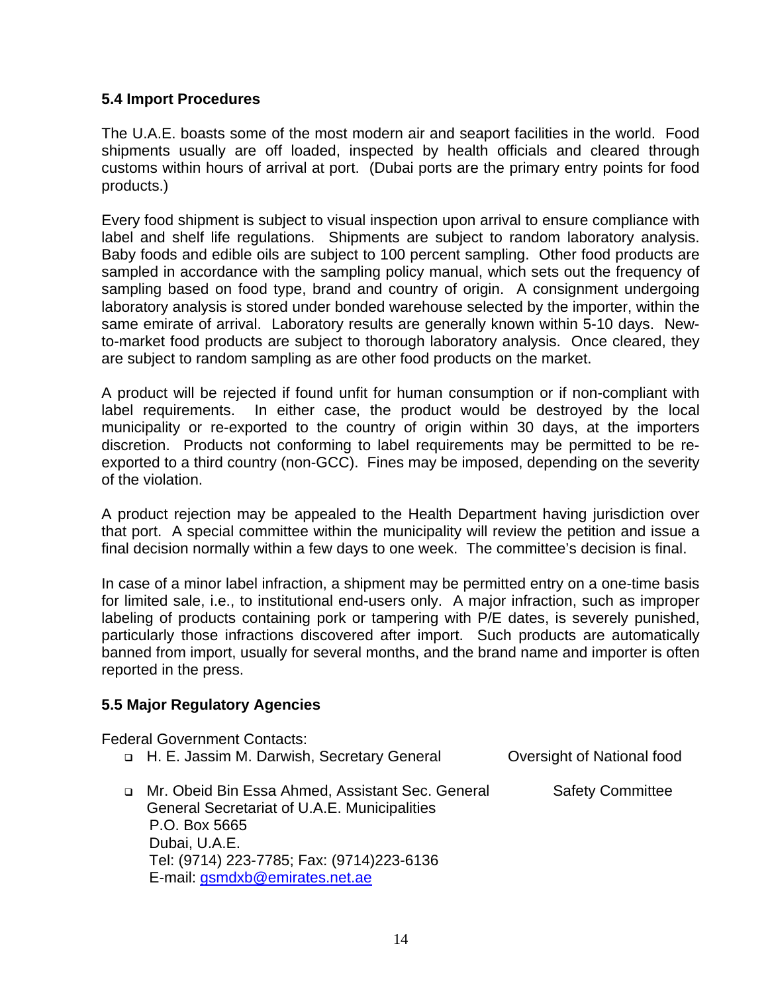## **5.4 Import Procedures**

The U.A.E. boasts some of the most modern air and seaport facilities in the world. Food shipments usually are off loaded, inspected by health officials and cleared through customs within hours of arrival at port. (Dubai ports are the primary entry points for food products.)

Every food shipment is subject to visual inspection upon arrival to ensure compliance with label and shelf life regulations. Shipments are subject to random laboratory analysis. Baby foods and edible oils are subject to 100 percent sampling. Other food products are sampled in accordance with the sampling policy manual, which sets out the frequency of sampling based on food type, brand and country of origin. A consignment undergoing laboratory analysis is stored under bonded warehouse selected by the importer, within the same emirate of arrival. Laboratory results are generally known within 5-10 days. Newto-market food products are subject to thorough laboratory analysis. Once cleared, they are subject to random sampling as are other food products on the market.

A product will be rejected if found unfit for human consumption or if non-compliant with label requirements. In either case, the product would be destroyed by the local municipality or re-exported to the country of origin within 30 days, at the importers discretion. Products not conforming to label requirements may be permitted to be reexported to a third country (non-GCC). Fines may be imposed, depending on the severity of the violation.

A product rejection may be appealed to the Health Department having jurisdiction over that port. A special committee within the municipality will review the petition and issue a final decision normally within a few days to one week. The committee's decision is final.

In case of a minor label infraction, a shipment may be permitted entry on a one-time basis for limited sale, i.e., to institutional end-users only. A major infraction, such as improper labeling of products containing pork or tampering with P/E dates, is severely punished, particularly those infractions discovered after import. Such products are automatically banned from import, usually for several months, and the brand name and importer is often reported in the press.

## **5.5 Major Regulatory Agencies**

Federal Government Contacts:

- □ H. E. Jassim M. Darwish, Secretary General Oversight of National food
- □ Mr. Obeid Bin Essa Ahmed, Assistant Sec. General Safety Committee General Secretariat of U.A.E. Municipalities P.O. Box 5665 Dubai, U.A.E. Tel: (9714) 223-7785; Fax: (9714)223-6136 E-mail: [gsmdxb@emirates.net.ae](mailto:gsmdxb@emirates.net.ae)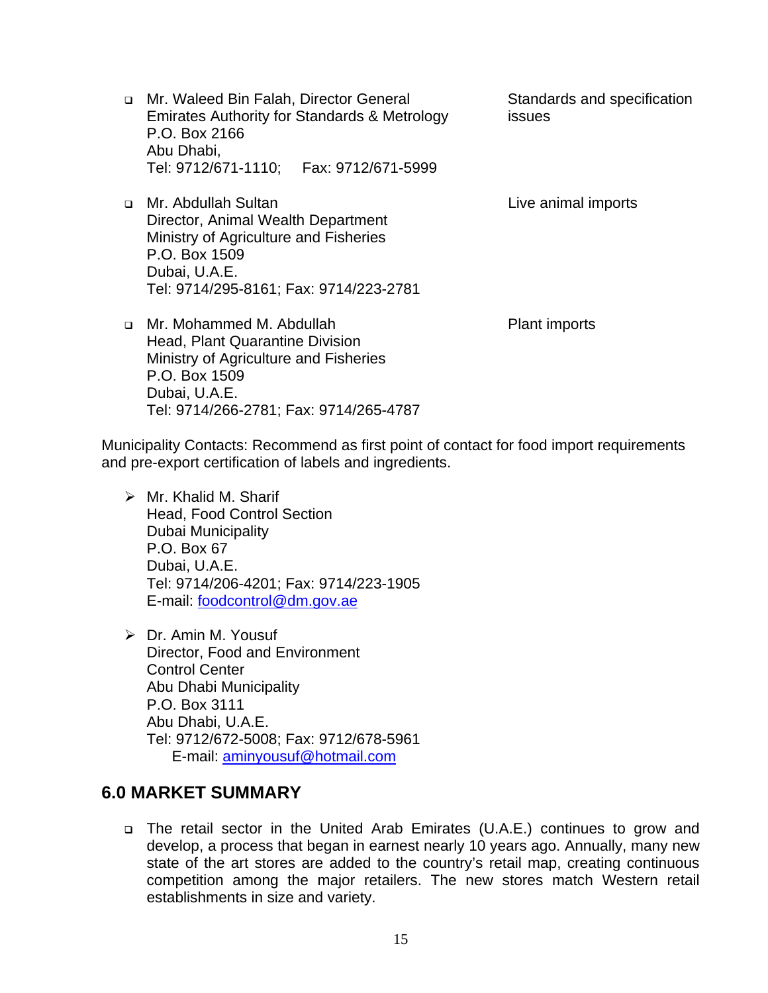□ Mr. Waleed Bin Falah, Director General Standards and specification Emirates Authority for Standards & Metrology issues P.O. Box 2166 Abu Dhabi, Tel: 9712/671-1110; Fax: 9712/671-5999

Mr. Abdullah Sultan Live animal imports

 Tel: 9714/295-8161; Fax: 9714/223-2781 □ Mr. Mohammed M. Abdullah Plant imports Head, Plant Quarantine Division Ministry of Agriculture and Fisheries P.O. Box 1509 Dubai, U.A.E. Tel: 9714/266-2781; Fax: 9714/265-4787

 Director, Animal Wealth Department Ministry of Agriculture and Fisheries

 P.O. Box 1509 Dubai, U.A.E.

Municipality Contacts: Recommend as first point of contact for food import requirements and pre-export certification of labels and ingredients.

- $\triangleright$  Mr. Khalid M. Sharif Head, Food Control Section Dubai Municipality P.O. Box 67 Dubai, U.A.E. Tel: 9714/206-4201; Fax: 9714/223-1905 E-mail: [foodcontrol@dm.gov.ae](mailto:foodcontrol@dm.gov.ae)
- ¾ Dr. Amin M. Yousuf Director, Food and Environment Control Center Abu Dhabi Municipality P.O. Box 3111 Abu Dhabi, U.A.E. Tel: 9712/672-5008; Fax: 9712/678-5961 E-mail: [aminyousuf@hotmail.com](mailto:aminyousuf@hotmail.com)

# **6.0 MARKET SUMMARY**

 The retail sector in the United Arab Emirates (U.A.E.) continues to grow and develop, a process that began in earnest nearly 10 years ago. Annually, many new state of the art stores are added to the country's retail map, creating continuous competition among the major retailers. The new stores match Western retail establishments in size and variety.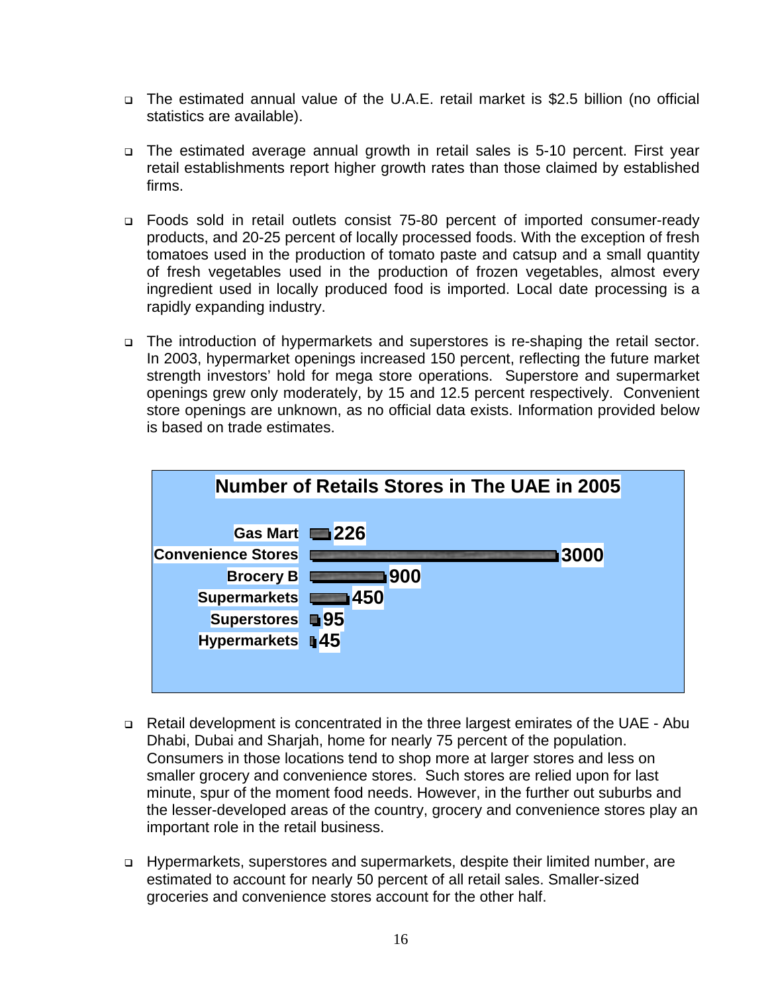- The estimated annual value of the U.A.E. retail market is \$2.5 billion (no official statistics are available).
- The estimated average annual growth in retail sales is 5-10 percent. First year retail establishments report higher growth rates than those claimed by established firms.
- Foods sold in retail outlets consist 75-80 percent of imported consumer-ready products, and 20-25 percent of locally processed foods. With the exception of fresh tomatoes used in the production of tomato paste and catsup and a small quantity of fresh vegetables used in the production of frozen vegetables, almost every ingredient used in locally produced food is imported. Local date processing is a rapidly expanding industry.
- The introduction of hypermarkets and superstores is re-shaping the retail sector. In 2003, hypermarket openings increased 150 percent, reflecting the future market strength investors' hold for mega store operations. Superstore and supermarket openings grew only moderately, by 15 and 12.5 percent respectively. Convenient store openings are unknown, as no official data exists. Information provided below is based on trade estimates.



- Retail development is concentrated in the three largest emirates of the UAE Abu Dhabi, Dubai and Sharjah, home for nearly 75 percent of the population. Consumers in those locations tend to shop more at larger stores and less on smaller grocery and convenience stores. Such stores are relied upon for last minute, spur of the moment food needs. However, in the further out suburbs and the lesser-developed areas of the country, grocery and convenience stores play an important role in the retail business.
- Hypermarkets, superstores and supermarkets, despite their limited number, are estimated to account for nearly 50 percent of all retail sales. Smaller-sized groceries and convenience stores account for the other half.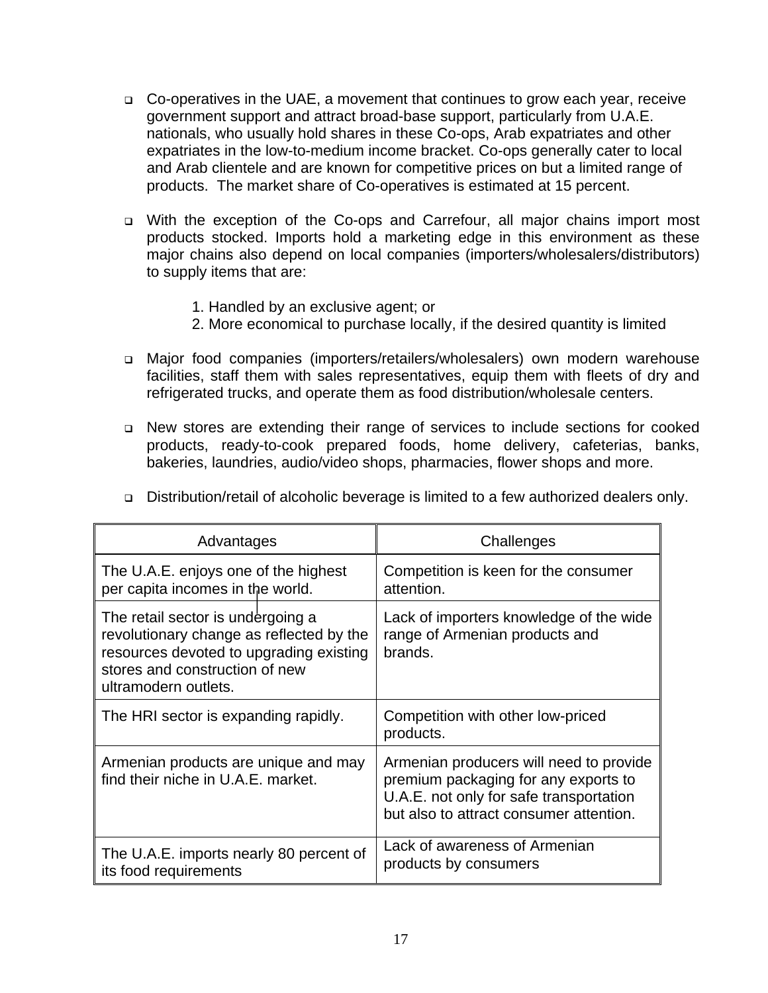- □ Co-operatives in the UAE, a movement that continues to grow each year, receive government support and attract broad-base support, particularly from U.A.E. nationals, who usually hold shares in these Co-ops, Arab expatriates and other expatriates in the low-to-medium income bracket. Co-ops generally cater to local and Arab clientele and are known for competitive prices on but a limited range of products. The market share of Co-operatives is estimated at 15 percent.
- With the exception of the Co-ops and Carrefour, all major chains import most products stocked. Imports hold a marketing edge in this environment as these major chains also depend on local companies (importers/wholesalers/distributors) to supply items that are:
	- 1. Handled by an exclusive agent; or
	- 2. More economical to purchase locally, if the desired quantity is limited
- Major food companies (importers/retailers/wholesalers) own modern warehouse facilities, staff them with sales representatives, equip them with fleets of dry and refrigerated trucks, and operate them as food distribution/wholesale centers.
- New stores are extending their range of services to include sections for cooked products, ready-to-cook prepared foods, home delivery, cafeterias, banks, bakeries, laundries, audio/video shops, pharmacies, flower shops and more.

| Advantages                                                                                                                                                                         | Challenges                                                                                                                                                            |
|------------------------------------------------------------------------------------------------------------------------------------------------------------------------------------|-----------------------------------------------------------------------------------------------------------------------------------------------------------------------|
| The U.A.E. enjoys one of the highest<br>per capita incomes in the world.                                                                                                           | Competition is keen for the consumer<br>attention.                                                                                                                    |
| The retail sector is undergoing a<br>revolutionary change as reflected by the<br>resources devoted to upgrading existing<br>stores and construction of new<br>ultramodern outlets. | Lack of importers knowledge of the wide<br>range of Armenian products and<br>brands.                                                                                  |
| The HRI sector is expanding rapidly.                                                                                                                                               | Competition with other low-priced<br>products.                                                                                                                        |
| Armenian products are unique and may<br>find their niche in U.A.E. market.                                                                                                         | Armenian producers will need to provide<br>premium packaging for any exports to<br>U.A.E. not only for safe transportation<br>but also to attract consumer attention. |
| The U.A.E. imports nearly 80 percent of<br>its food requirements                                                                                                                   | Lack of awareness of Armenian<br>products by consumers                                                                                                                |

Distribution/retail of alcoholic beverage is limited to a few authorized dealers only.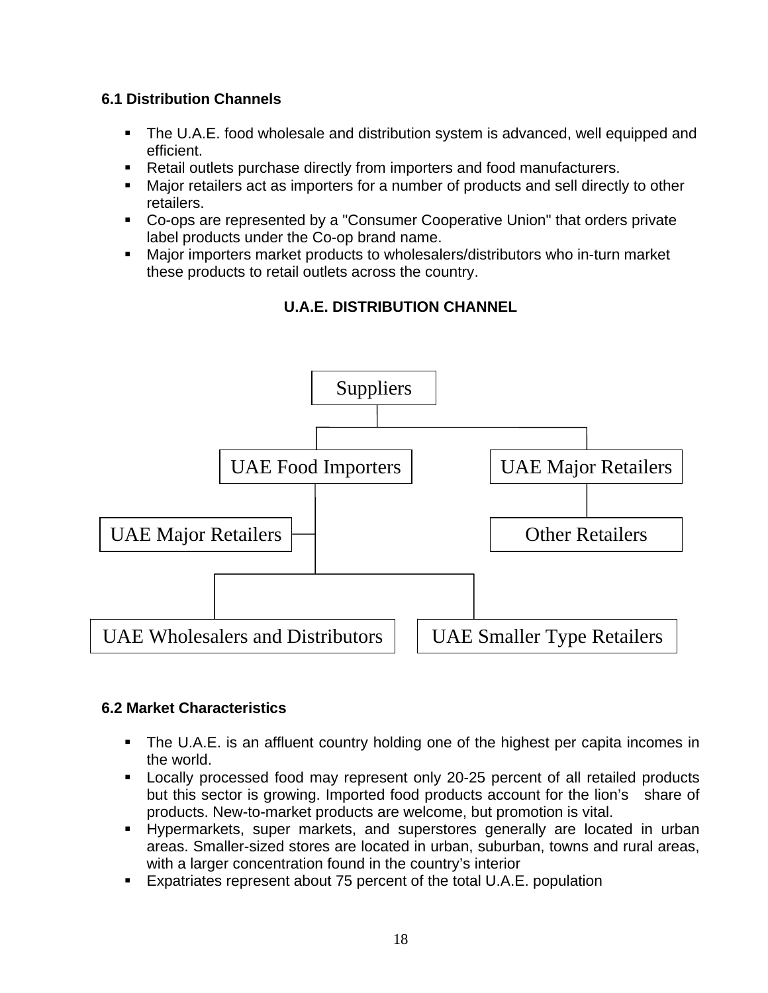# **6.1 Distribution Channels**

- **The U.A.E. food wholesale and distribution system is advanced, well equipped and** efficient.
- Retail outlets purchase directly from importers and food manufacturers.
- Major retailers act as importers for a number of products and sell directly to other retailers.
- Co-ops are represented by a "Consumer Cooperative Union" that orders private label products under the Co-op brand name.
- Major importers market products to wholesalers/distributors who in-turn market these products to retail outlets across the country.





## **6.2 Market Characteristics**

- The U.A.E. is an affluent country holding one of the highest per capita incomes in the world.
- Locally processed food may represent only 20-25 percent of all retailed products but this sector is growing. Imported food products account for the lion's share of products. New-to-market products are welcome, but promotion is vital.
- Hypermarkets, super markets, and superstores generally are located in urban areas. Smaller-sized stores are located in urban, suburban, towns and rural areas, with a larger concentration found in the country's interior
- Expatriates represent about 75 percent of the total U.A.E. population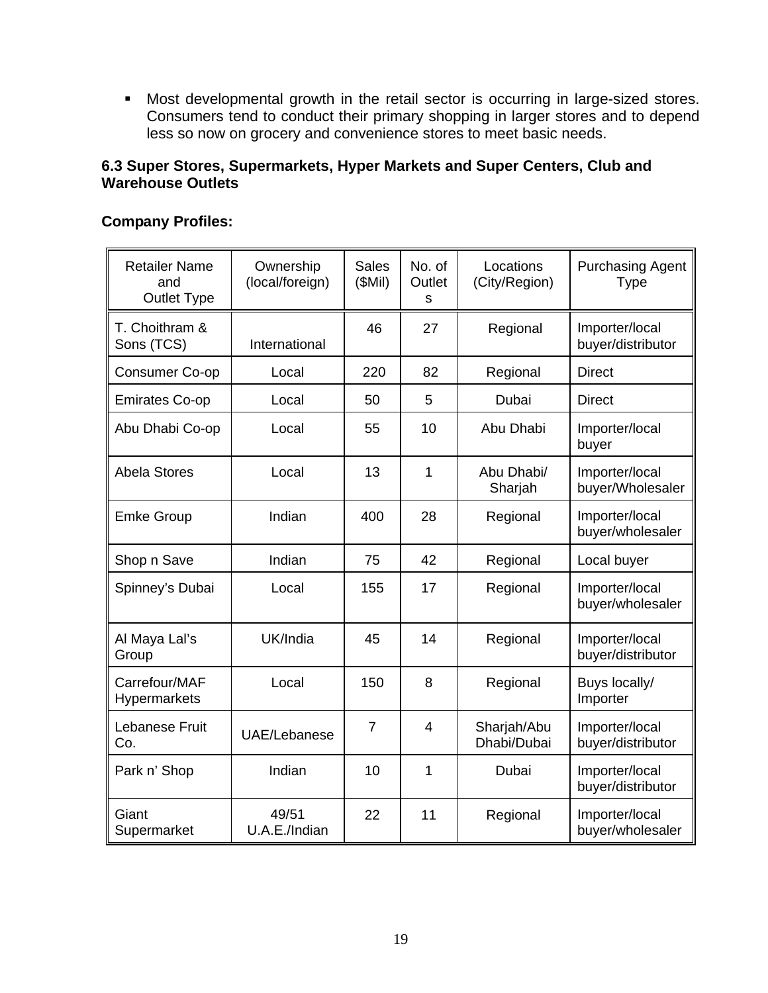Most developmental growth in the retail sector is occurring in large-sized stores. Consumers tend to conduct their primary shopping in larger stores and to depend less so now on grocery and convenience stores to meet basic needs.

## **6.3 Super Stores, Supermarkets, Hyper Markets and Super Centers, Club and Warehouse Outlets**

#### Retailer Name and Outlet Type **Ownership** (local/foreign) **Sales** (\$Mil) No. of **Outlet** s Locations (City/Region) Purchasing Agent Type T. Choithram & Sons (TCS) International 46 27 Regional Importer/local buyer/distributor Consumer Co-op | Local | 220 | 82 | Regional | Direct Emirates Co-op | Local | 50 | 5 | Dubai | Direct Abu Dhabi Co-op | Local | 55 | 10 | Abu Dhabi | Importer/local buyer Abela Stores Local 13 1 Abu Dhabi/ Sharjah Importer/local buyer/Wholesaler Emke Group | Indian | 400 | 28 | Regional | Importer/local buyer/wholesaler Shop n Save | Indian | 75 | 42 | Regional | Local buyer Spinney's Dubai | Local | 155 | 17 | Regional | Importer/local buyer/wholesaler Al Maya Lal's Group UK/India | 45 | 14 | Regional | Importer/local buyer/distributor Carrefour/MAF **Hypermarkets** Local | 150 | 8 | Regional | Buys locally/ **Importer** Lebanese Fruit Co. UAE/Lebanese 7 4 Sharjah/Abu Dhabi/Dubai Importer/local buyer/distributor Park n' Shop | Indian | 10 | 1 | Dubai | Importer/local buyer/distributor **Giant Supermarket** 49/51 U.A.E./Indian 22 | 11 | Regional | Importer/local buyer/wholesaler

# **Company Profiles:**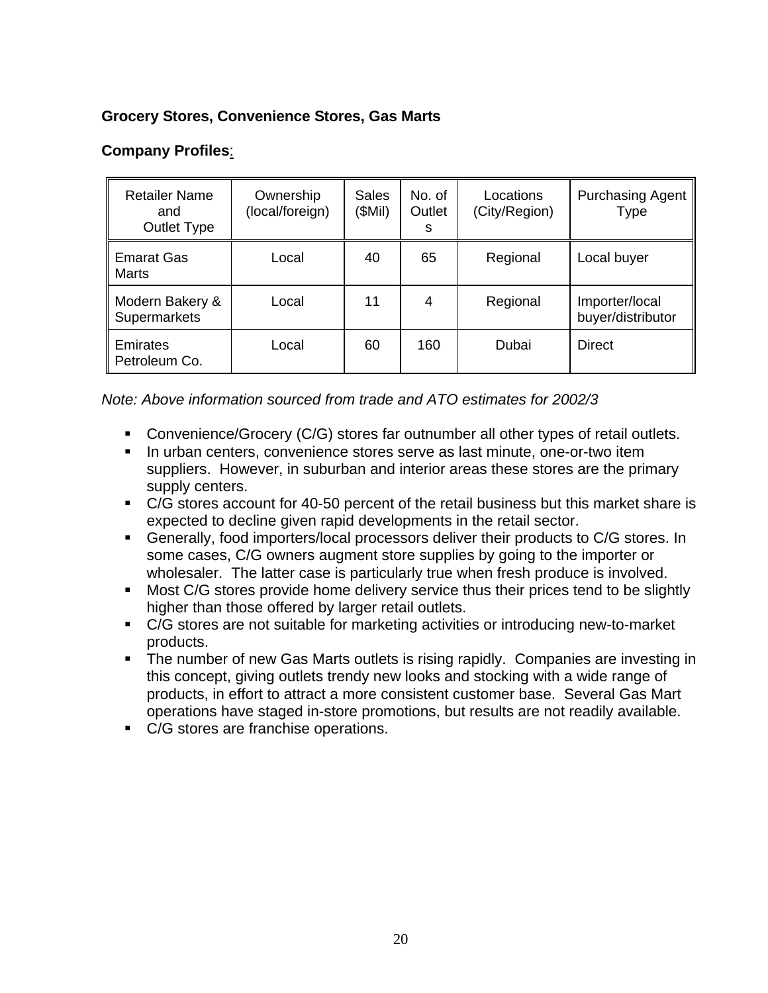# **Grocery Stores, Convenience Stores, Gas Marts**

# **Company Profiles**:

| <b>Retailer Name</b><br>and<br>Outlet Type | Ownership<br>(local/foreign) | <b>Sales</b><br>(\$Mil) | No. of<br>Outlet<br>s | Locations<br>(City/Region) | <b>Purchasing Agent</b><br>Type     |
|--------------------------------------------|------------------------------|-------------------------|-----------------------|----------------------------|-------------------------------------|
| <b>Emarat Gas</b><br>Marts                 | Local                        | 40                      | 65                    | Regional                   | Local buyer                         |
| Modern Bakery &<br>Supermarkets            | Local                        | 11                      | 4                     | Regional                   | Importer/local<br>buyer/distributor |
| Emirates<br>Petroleum Co.                  | Local                        | 60                      | 160                   | Dubai                      | Direct                              |

*Note: Above information sourced from trade and ATO estimates for 2002/3* 

- Convenience/Grocery (C/G) stores far outnumber all other types of retail outlets.
- **In urban centers, convenience stores serve as last minute, one-or-two item** suppliers. However, in suburban and interior areas these stores are the primary supply centers.
- C/G stores account for 40-50 percent of the retail business but this market share is expected to decline given rapid developments in the retail sector.
- Generally, food importers/local processors deliver their products to C/G stores. In some cases, C/G owners augment store supplies by going to the importer or wholesaler. The latter case is particularly true when fresh produce is involved.
- **Most C/G stores provide home delivery service thus their prices tend to be slightly** higher than those offered by larger retail outlets.
- C/G stores are not suitable for marketing activities or introducing new-to-market products.
- The number of new Gas Marts outlets is rising rapidly. Companies are investing in this concept, giving outlets trendy new looks and stocking with a wide range of products, in effort to attract a more consistent customer base. Several Gas Mart operations have staged in-store promotions, but results are not readily available.
- C/G stores are franchise operations.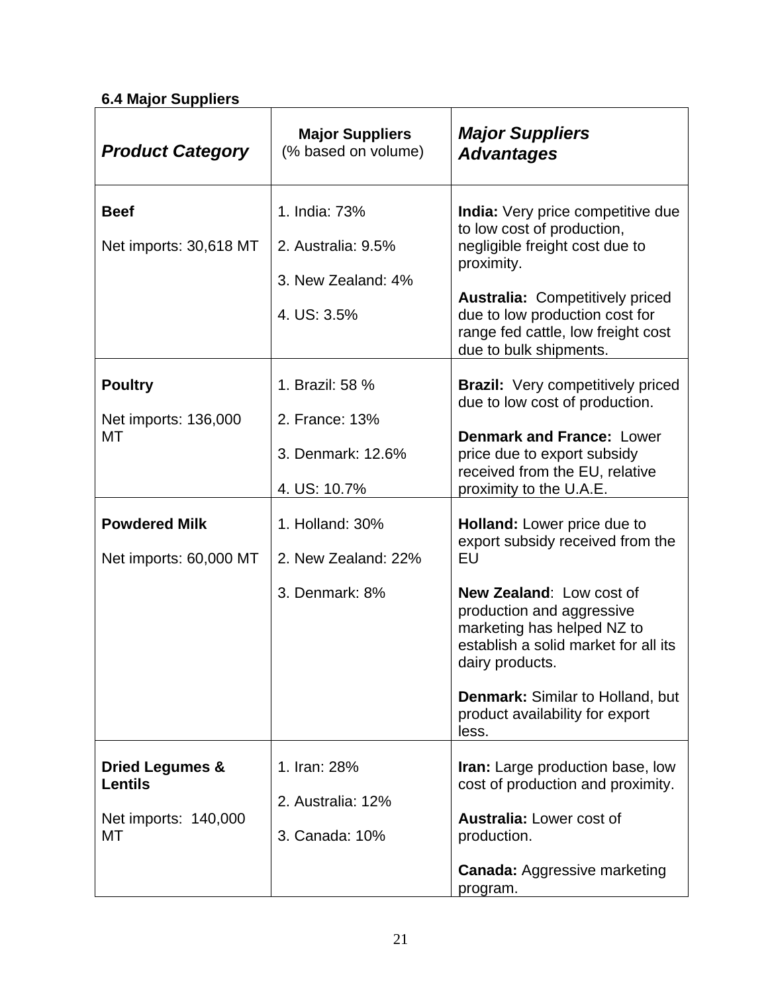# **6.4 Major Suppliers**

| <b>Product Category</b>                                                    | <b>Major Suppliers</b><br>(% based on volume)                            | <b>Major Suppliers</b><br><b>Advantages</b>                                                                                                                                                                                                                                                                           |
|----------------------------------------------------------------------------|--------------------------------------------------------------------------|-----------------------------------------------------------------------------------------------------------------------------------------------------------------------------------------------------------------------------------------------------------------------------------------------------------------------|
| <b>Beef</b><br>Net imports: 30,618 MT                                      | 1. India: 73%<br>2. Australia: 9.5%<br>3. New Zealand: 4%<br>4. US: 3.5% | <b>India:</b> Very price competitive due<br>to low cost of production,<br>negligible freight cost due to<br>proximity.<br><b>Australia: Competitively priced</b><br>due to low production cost for<br>range fed cattle, low freight cost<br>due to bulk shipments.                                                    |
| <b>Poultry</b><br>Net imports: 136,000<br>МT                               | 1. Brazil: 58 %<br>2. France: 13%<br>3. Denmark: 12.6%<br>4. US: 10.7%   | <b>Brazil:</b> Very competitively priced<br>due to low cost of production.<br><b>Denmark and France: Lower</b><br>price due to export subsidy<br>received from the EU, relative<br>proximity to the U.A.E.                                                                                                            |
| <b>Powdered Milk</b><br>Net imports: 60,000 MT                             | 1. Holland: 30%<br>2. New Zealand: 22%<br>3. Denmark: 8%                 | <b>Holland:</b> Lower price due to<br>export subsidy received from the<br>EU<br>New Zealand: Low cost of<br>production and aggressive<br>marketing has helped NZ to<br>establish a solid market for all its<br>dairy products.<br><b>Denmark: Similar to Holland, but</b><br>product availability for export<br>less. |
| <b>Dried Legumes &amp;</b><br><b>Lentils</b><br>Net imports: 140,000<br>МT | 1. Iran: 28%<br>2. Australia: 12%<br>3. Canada: 10%                      | Iran: Large production base, low<br>cost of production and proximity.<br><b>Australia: Lower cost of</b><br>production.<br><b>Canada: Aggressive marketing</b><br>program.                                                                                                                                            |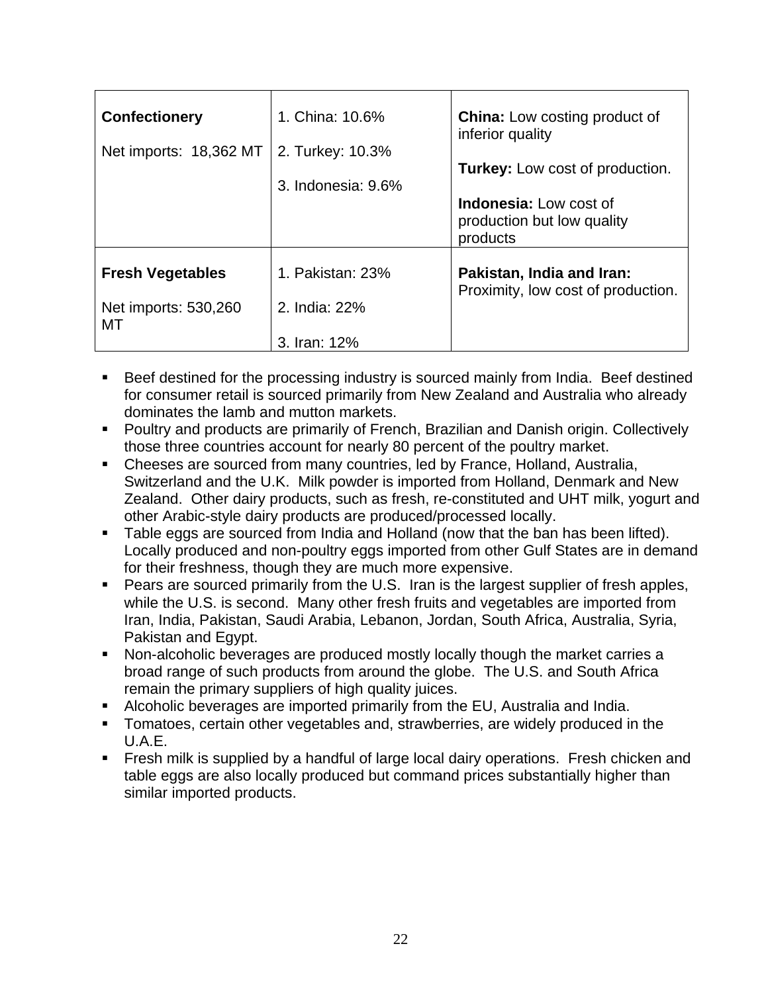| <b>Confectionery</b><br>Net imports: 18,362 MT        | 1. China: 10.6%<br>2. Turkey: 10.3%<br>3. Indonesia: 9.6% | <b>China:</b> Low costing product of<br>inferior quality<br><b>Turkey:</b> Low cost of production.<br><b>Indonesia:</b> Low cost of<br>production but low quality<br>products |
|-------------------------------------------------------|-----------------------------------------------------------|-------------------------------------------------------------------------------------------------------------------------------------------------------------------------------|
| <b>Fresh Vegetables</b><br>Net imports: 530,260<br>МT | 1. Pakistan: 23%<br>2. India: 22%<br>3. Iran: 12%         | Pakistan, India and Iran:<br>Proximity, low cost of production.                                                                                                               |

- **Beef destined for the processing industry is sourced mainly from India. Beef destined** for consumer retail is sourced primarily from New Zealand and Australia who already dominates the lamb and mutton markets.
- Poultry and products are primarily of French, Brazilian and Danish origin. Collectively those three countries account for nearly 80 percent of the poultry market.
- Cheeses are sourced from many countries, led by France, Holland, Australia, Switzerland and the U.K. Milk powder is imported from Holland, Denmark and New Zealand. Other dairy products, such as fresh, re-constituted and UHT milk, yogurt and other Arabic-style dairy products are produced/processed locally.
- Table eggs are sourced from India and Holland (now that the ban has been lifted). Locally produced and non-poultry eggs imported from other Gulf States are in demand for their freshness, though they are much more expensive.
- **Pears are sourced primarily from the U.S. Iran is the largest supplier of fresh apples,** while the U.S. is second. Many other fresh fruits and vegetables are imported from Iran, India, Pakistan, Saudi Arabia, Lebanon, Jordan, South Africa, Australia, Syria, Pakistan and Egypt.
- Non-alcoholic beverages are produced mostly locally though the market carries a broad range of such products from around the globe. The U.S. and South Africa remain the primary suppliers of high quality juices.
- Alcoholic beverages are imported primarily from the EU, Australia and India.
- Tomatoes, certain other vegetables and, strawberries, are widely produced in the U.A.E.
- **Filth** Fresh milk is supplied by a handful of large local dairy operations. Fresh chicken and table eggs are also locally produced but command prices substantially higher than similar imported products.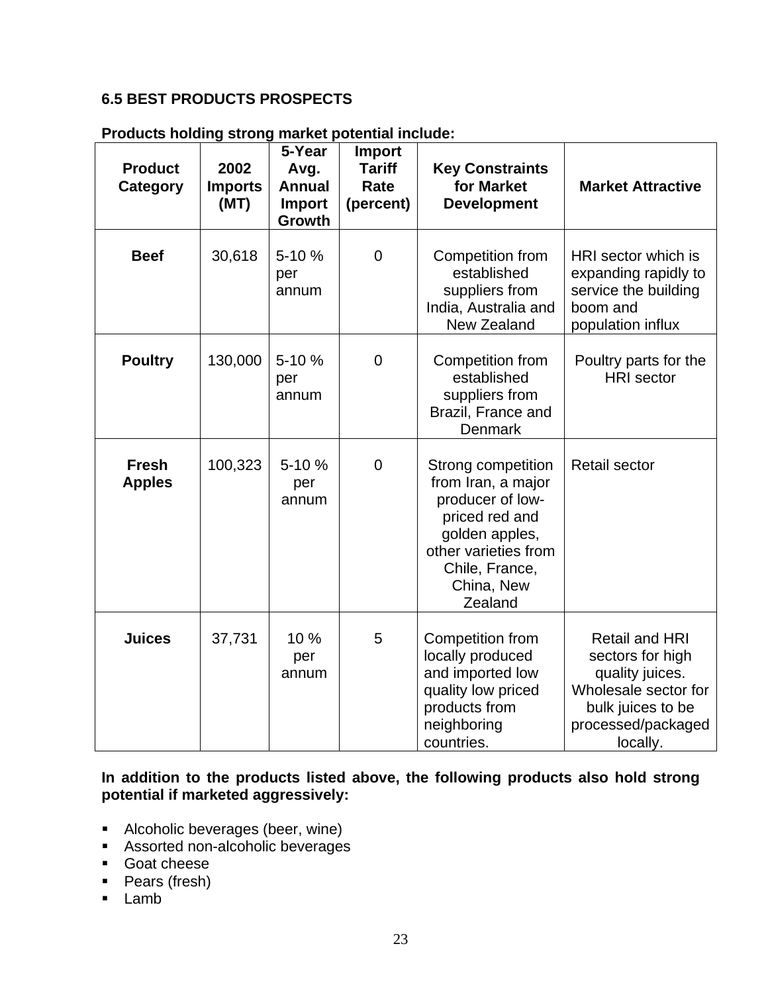# **6.5 BEST PRODUCTS PROSPECTS**

| <b>Product</b><br>Category    | 2002<br><b>Imports</b><br>(MT) | 5-Year<br>Avg.<br><b>Annual</b><br>Import<br><b>Growth</b> | <b>Import</b><br><b>Tariff</b><br>Rate<br>(percent) | <b>Key Constraints</b><br>for Market<br><b>Development</b>                                                                                                          | <b>Market Attractive</b>                                                                                                                    |
|-------------------------------|--------------------------------|------------------------------------------------------------|-----------------------------------------------------|---------------------------------------------------------------------------------------------------------------------------------------------------------------------|---------------------------------------------------------------------------------------------------------------------------------------------|
| <b>Beef</b>                   | 30,618                         | 5-10 %<br>per<br>annum                                     | $\overline{0}$                                      | Competition from<br>established<br>suppliers from<br>India, Australia and<br><b>New Zealand</b>                                                                     | HRI sector which is<br>expanding rapidly to<br>service the building<br>boom and<br>population influx                                        |
| <b>Poultry</b>                | 130,000                        | 5-10 %<br>per<br>annum                                     | $\mathbf 0$                                         | Competition from<br>established<br>suppliers from<br>Brazil, France and<br>Denmark                                                                                  | Poultry parts for the<br><b>HRI</b> sector                                                                                                  |
| <b>Fresh</b><br><b>Apples</b> | 100,323                        | 5-10 %<br>per<br>annum                                     | $\mathbf 0$                                         | Strong competition<br>from Iran, a major<br>producer of low-<br>priced red and<br>golden apples,<br>other varieties from<br>Chile, France,<br>China, New<br>Zealand | <b>Retail sector</b>                                                                                                                        |
| <b>Juices</b>                 | 37,731                         | 10 %<br>per<br>annum                                       | 5                                                   | <b>Competition from</b><br>locally produced<br>and imported low<br>quality low priced<br>products from<br>neighboring<br>countries.                                 | <b>Retail and HRI</b><br>sectors for high<br>quality juices.<br>Wholesale sector for<br>bulk juices to be<br>processed/packaged<br>locally. |

#### **Products holding strong market potential include:**

**In addition to the products listed above, the following products also hold strong potential if marketed aggressively:** 

- Alcoholic beverages (beer, wine)
- **Assorted non-alcoholic beverages**
- Goat cheese
- Pears (fresh)
- **Lamb**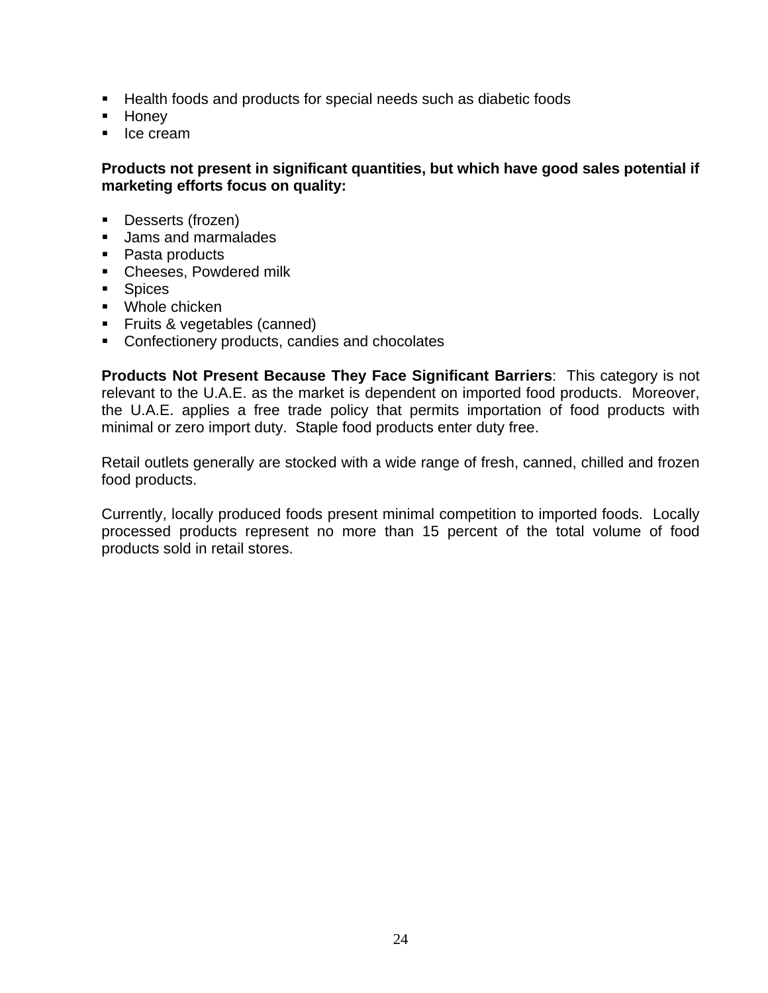- Health foods and products for special needs such as diabetic foods
- **Honey**
- **I**ce cream

## **Products not present in significant quantities, but which have good sales potential if marketing efforts focus on quality:**

- **Desserts (frozen)**
- **Jams and marmalades**
- Pasta products
- **Cheeses, Powdered milk**
- **Spices**
- **Whole chicken**
- **Filth** S vegetables (canned)
- **Confectionery products, candies and chocolates**

**Products Not Present Because They Face Significant Barriers**: This category is not relevant to the U.A.E. as the market is dependent on imported food products. Moreover, the U.A.E. applies a free trade policy that permits importation of food products with minimal or zero import duty. Staple food products enter duty free.

Retail outlets generally are stocked with a wide range of fresh, canned, chilled and frozen food products.

Currently, locally produced foods present minimal competition to imported foods. Locally processed products represent no more than 15 percent of the total volume of food products sold in retail stores.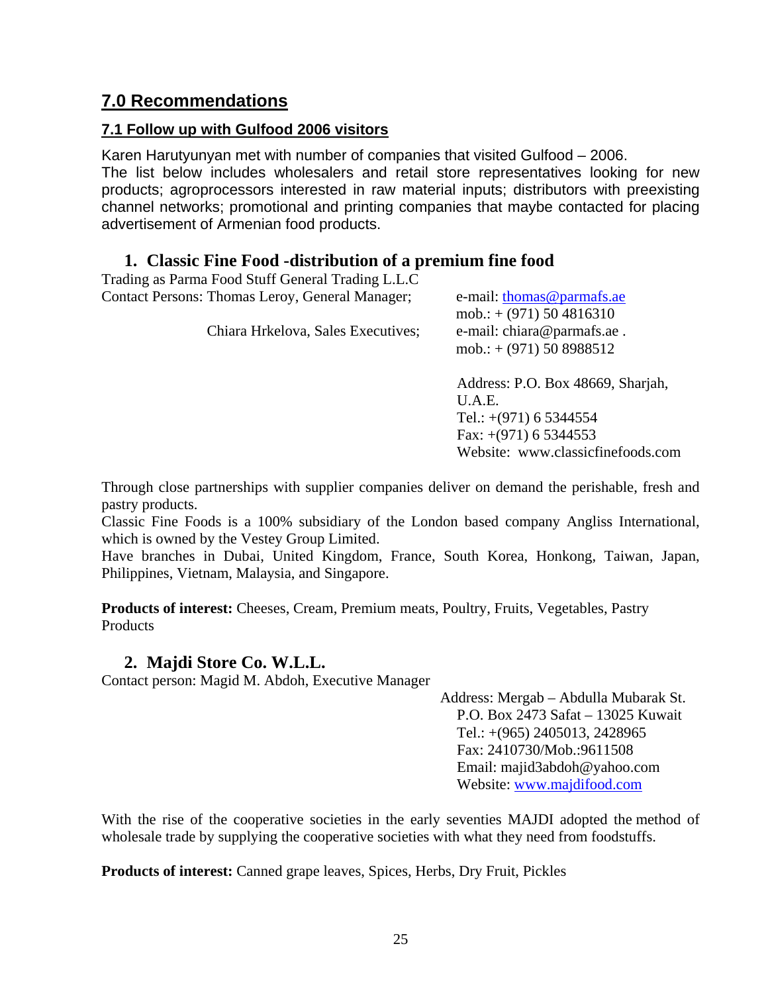# **7.0 Recommendations**

# **7.1 Follow up with Gulfood 2006 visitors**

Karen Harutyunyan met with number of companies that visited Gulfood – 2006. The list below includes wholesalers and retail store representatives looking for new products; agroprocessors interested in raw material inputs; distributors with preexisting channel networks; promotional and printing companies that maybe contacted for placing advertisement of Armenian food products.

# **1. Classic Fine Food -distribution of a premium fine food**

| Trading as Parma Food Stuff General Trading L.L.C |                                                         |
|---------------------------------------------------|---------------------------------------------------------|
| Contact Persons: Thomas Leroy, General Manager;   | e-mail: thomas@parmafs.ae<br>mob.: $+$ (971) 50 4816310 |
| Chiara Hrkelova, Sales Executives;                | e-mail: chiara@parmafs.ae.<br>mob.: $+(971)$ 50 8988512 |
|                                                   | Address: P.O. Box 48669, Sharjah,                       |
|                                                   | $\mathbf{U}$ . A. E.                                    |
|                                                   | Tel.: $+(971)$ 6 5344554                                |
|                                                   | Fax: $+(971)$ 6 5344553                                 |

Through close partnerships with supplier companies deliver on demand the perishable, fresh and pastry products.

Classic Fine Foods is a 100% subsidiary of the London based company Angliss International, which is owned by the Vestey Group Limited.

Have branches in Dubai, United Kingdom, France, South Korea, Honkong, Taiwan, Japan, Philippines, Vietnam, Malaysia, and Singapore.

**Products of interest:** Cheeses, Cream, Premium meats, Poultry, Fruits, Vegetables, Pastry Products

# **2. Majdi Store Co. W.L.L.**

Contact person: Magid M. Abdoh, Executive Manager

Address: Mergab – Abdulla Mubarak St. P.O. Box 2473 Safat – 13025 Kuwait Tel.: +(965) 2405013, 2428965 Fax: 2410730/Mob.:9611508 Email: majid3abdoh@yahoo.com Website: [www.majdifood.com](http://www.majdifood.com/) 

Website: [www.classicfinefoods.com](http://www.classicfinefoods.com/)

With the rise of the cooperative societies in the early seventies MAJDI adopted the method of wholesale trade by supplying the cooperative societies with what they need from foodstuffs.

**Products of interest:** Canned grape leaves, Spices, Herbs, Dry Fruit, Pickles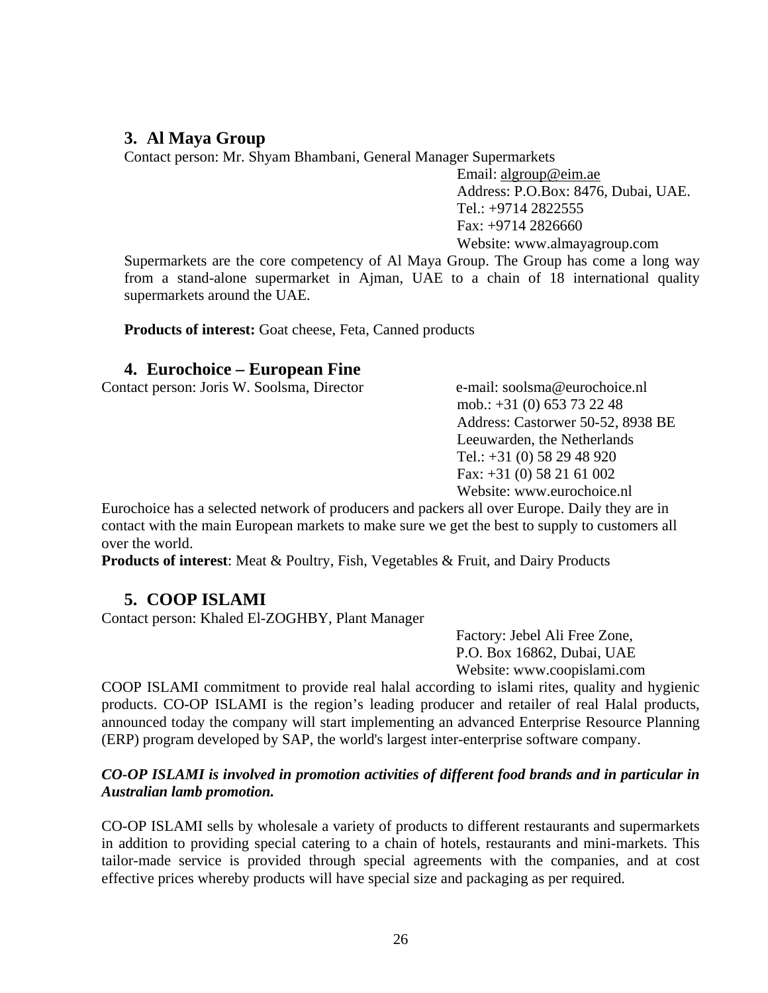## **3. Al Maya Group**

Contact person: Mr. Shyam Bhambani, General Manager Supermarkets

Email: [algroup@eim.ae](mailto:algroup@eim.ae) Address: P.O.Box: 8476, Dubai, UAE. Tel.: +9714 2822555 Fax: +9714 2826660 Website: www.almayagroup.com

Supermarkets are the core competency of Al Maya Group. The Group has come a long way from a stand-alone supermarket in Ajman, UAE to a chain of 18 international quality supermarkets around the UAE.

**Products of interest:** Goat cheese, Feta, Canned products

## **4. Eurochoice – European Fine**

Contact person: Joris W. Soolsma, Director e-mail: soolsma@eurochoice.nl

mob.: +31 (0) 653 73 22 48 Address: Castorwer 50-52, 8938 BE Leeuwarden, the Netherlands Tel.: +31 (0) 58 29 48 920 Fax: +31 (0) 58 21 61 002 Website: www.eurochoice.nl

Eurochoice has a selected network of producers and packers all over Europe. Daily they are in contact with the main European markets to make sure we get the best to supply to customers all over the world.

**Products of interest**: [Meat & Poultry](http://www.eurochoice.nl/nieuw/startpagina.php##), [Fish](http://www.eurochoice.nl/nieuw/startpagina.php##), [Vegetables & Fruit](http://www.eurochoice.nl/nieuw/startpagina.php##), [and Dairy Products](http://www.eurochoice.nl/nieuw/startpagina.php##)

## **5. COOP ISLAMI**

Contact person: Khaled El-ZOGHBY, Plant Manager

Factory: Jebel Ali Free Zone, P.O. Box 16862, Dubai, UAE Website: [www.coopislami.com](http://www.coopislami.com/)

COOP ISLAMI commitment to provide real halal according to islami rites, quality and hygienic products. CO-OP ISLAMI is the region's leading producer and retailer of real Halal products, announced today the company will start implementing an advanced Enterprise Resource Planning (ERP) program developed by SAP, the world's largest inter-enterprise software company.

#### *CO-OP ISLAMI is involved in promotion activities of different food brands and in particular in Australian lamb promotion.*

CO-OP ISLAMI sells by wholesale a variety of products to different restaurants and supermarkets in addition to providing special catering to a chain of hotels, restaurants and mini-markets. This tailor-made service is provided through special agreements with the companies, and at cost effective prices whereby products will have special size and packaging as per required.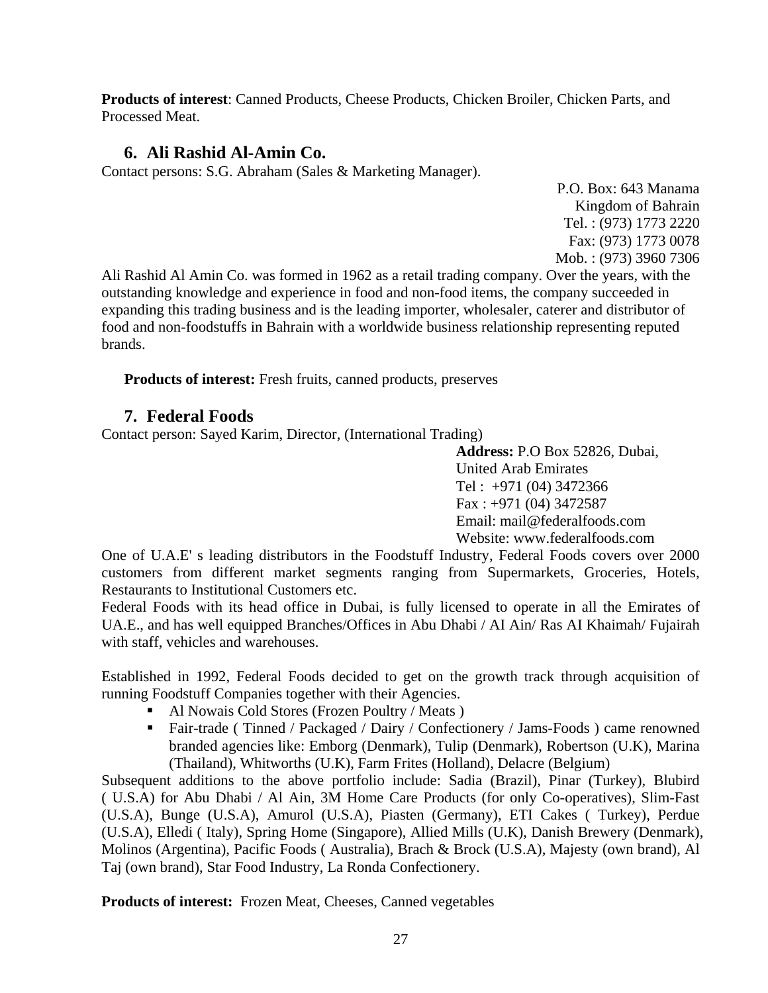**Products of interest**: Canned Products, Cheese Products, Chicken Broiler, Chicken Parts, and Processed Meat.

# **6. Ali Rashid Al-Amin Co.**

Contact persons: S.G. Abraham (Sales & Marketing Manager).

P.O. Box: 643 Manama Kingdom of Bahrain Tel. : (973) 1773 2220 Fax: (973) 1773 0078 Mob. : (973) 3960 7306

Ali Rashid Al Amin Co. was formed in 1962 as a retail trading company. Over the years, with the outstanding knowledge and experience in food and non-food items, the company succeeded in expanding this trading business and is the leading importer, wholesaler, caterer and distributor of food and non-foodstuffs in Bahrain with a worldwide business relationship representing reputed brands.

**Products of interest:** Fresh fruits, canned products, preserves

# **7. Federal Foods**

Contact person: Sayed Karim, Director, (International Trading)

**Address:** P.O Box 52826, Dubai, United Arab Emirates Tel : +971 (04) 3472366 Fax : +971 (04) 3472587 Email: mail@federalfoods.com Website: www.federalfoods.com

One of U.A.E' s leading distributors in the Foodstuff Industry, Federal Foods covers over 2000 customers from different market segments ranging from Supermarkets, Groceries, Hotels, Restaurants to Institutional Customers etc.

Federal Foods with its head office in Dubai, is fully licensed to operate in all the Emirates of UA.E., and has well equipped Branches/Offices in Abu Dhabi / AI Ain/ Ras AI Khaimah/ Fujairah with staff, vehicles and warehouses.

Established in 1992, Federal Foods decided to get on the growth track through acquisition of running Foodstuff Companies together with their Agencies.

- Al Nowais Cold Stores (Frozen Poultry / Meats)
- Fair-trade ( Tinned / Packaged / Dairy / Confectionery / Jams-Foods ) came renowned branded agencies like: Emborg (Denmark), Tulip (Denmark), Robertson (U.K), Marina (Thailand), Whitworths (U.K), Farm Frites (Holland), Delacre (Belgium)

Subsequent additions to the above portfolio include: Sadia (Brazil), Pinar (Turkey), Blubird ( U.S.A) for Abu Dhabi / Al Ain, 3M Home Care Products (for only Co-operatives), Slim-Fast (U.S.A), Bunge (U.S.A), Amurol (U.S.A), Piasten (Germany), ETI Cakes ( Turkey), Perdue (U.S.A), Elledi ( Italy), Spring Home (Singapore), Allied Mills (U.K), Danish Brewery (Denmark), Molinos (Argentina), Pacific Foods ( Australia), Brach & Brock (U.S.A), Majesty (own brand), Al Taj (own brand), Star Food Industry, La Ronda Confectionery.

**Products of interest:** Frozen Meat, Cheeses, Canned vegetables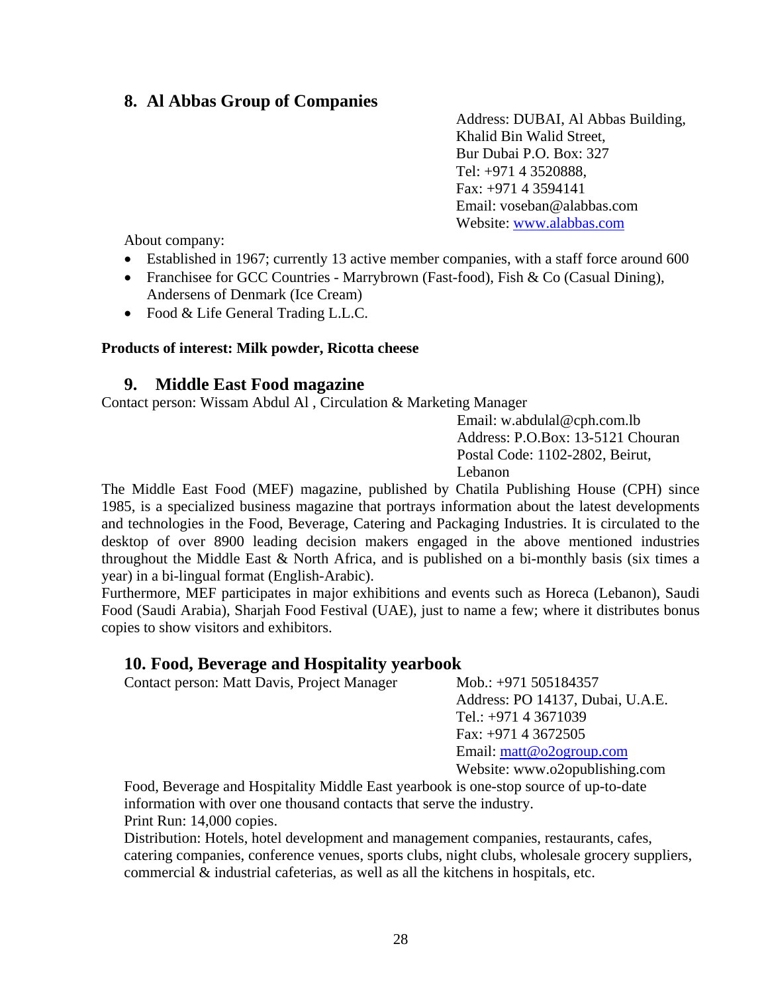# **8. Al Abbas Group of Companies**

Address: DUBAI, Al Abbas Building, Khalid Bin Walid Street, Bur Dubai P.O. Box: 327 Tel: +971 4 3520888, Fax: +971 4 3594141 Email: [voseban@alabbas.com](mailto:voseban@alabbas.com) Website: [www.alabbas.com](http://www.alabbas.com/)

About company:

- Established in 1967; currently 13 active member companies, with a staff force around 600
- Franchisee for GCC Countries Marrybrown (Fast-food), Fish & Co (Casual Dining), Andersens of Denmark (Ice Cream)
- Food & Life General Trading L.L.C.

#### **Products of interest: Milk powder, Ricotta cheese**

#### **9. Middle East Food magazine**

Contact person: Wissam Abdul Al , Circulation & Marketing Manager

Email: [w.abdulal@cph.com.lb](mailto:w.abdulal@cph.com.lb)  Address: P.O.Box: 13-5121 Chouran Postal Code: 1102-2802, Beirut, Lebanon

The Middle East Food (MEF) magazine, published by [Chatila Publishing House \(CPH\)](http://www.cph.com.lb/) since 1985, is a specialized business magazine that portrays information about the latest developments and technologies in the Food, Beverage, Catering and Packaging Industries. It is circulated to the desktop of over 8900 leading decision makers engaged in the above mentioned industries throughout the Middle East  $&$  North Africa, and is published on a bi-monthly basis (six times a year) in a bi-lingual format (English-Arabic).

Furthermore, MEF participates in major exhibitions and events such as Horeca (Lebanon), Saudi Food (Saudi Arabia), Sharjah Food Festival (UAE), just to name a few; where it distributes bonus copies to show visitors and exhibitors.

#### **10. Food, Beverage and Hospitality yearbook**

Contact person: Matt Davis, Project Manager Mob.: +971 505184357

Address: PO 14137, Dubai, U.A.E. Tel.: +971 4 3671039 Fax: +971 4 3672505 Email: [matt@o2ogroup.com](mailto:matt@o2ogroup.com)  Website: www.o2opublishing.com

Food, Beverage and Hospitality Middle East yearbook is one-stop source of up-to-date information with over one thousand contacts that serve the industry. Print Run: 14,000 copies.

Distribution: Hotels, hotel development and management companies, restaurants, cafes, catering companies, conference venues, sports clubs, night clubs, wholesale grocery suppliers, commercial & industrial cafeterias, as well as all the kitchens in hospitals, etc.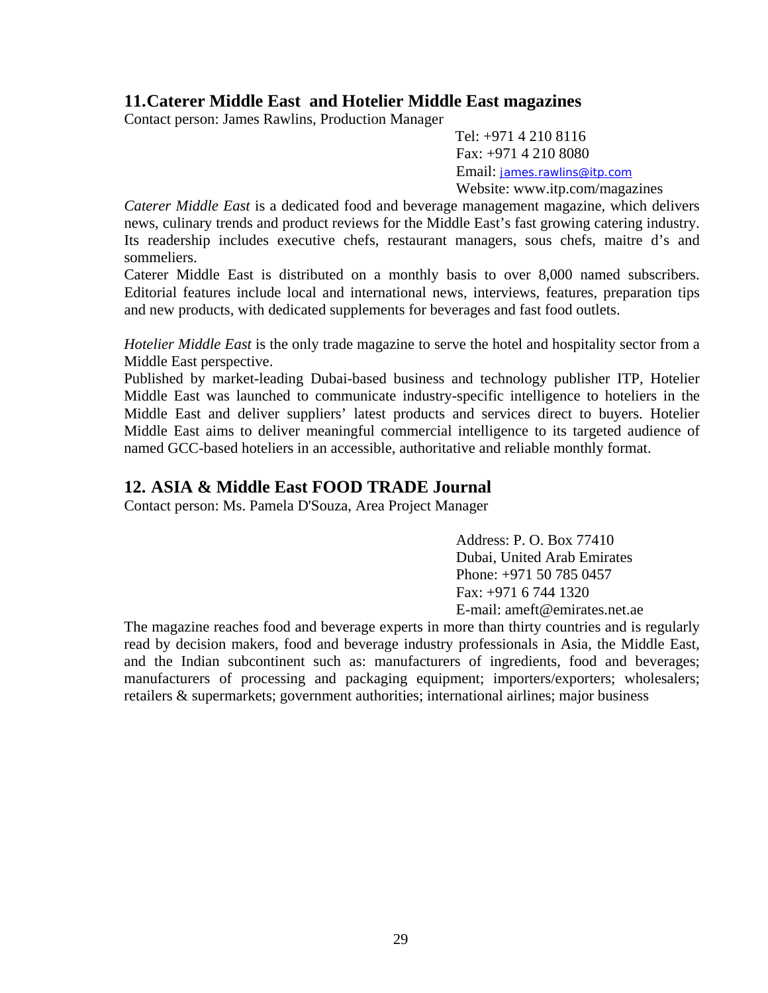# **11.Caterer Middle East and Hotelier Middle East magazines**

Contact person: James Rawlins, Production Manager

Tel: +971 4 210 8116 Fax: +971 4 210 8080 Email: [james.rawlins@itp.com](mailto:james.rawlins@itp.com)

Website: www.itp.com/magazines

*Caterer Middle East* is a dedicated food and beverage management magazine, which delivers news, culinary trends and product reviews for the Middle East's fast growing catering industry. Its readership includes executive chefs, restaurant managers, sous chefs, maitre d's and sommeliers.

Caterer Middle East is distributed on a monthly basis to over 8,000 named subscribers. Editorial features include local and international news, interviews, features, preparation tips and new products, with dedicated supplements for beverages and fast food outlets.

*Hotelier Middle East* is the only trade magazine to serve the hotel and hospitality sector from a Middle East perspective.

Published by market-leading Dubai-based business and technology publisher ITP, Hotelier Middle East was launched to communicate industry-specific intelligence to hoteliers in the Middle East and deliver suppliers' latest products and services direct to buyers. Hotelier Middle East aims to deliver meaningful commercial intelligence to its targeted audience of named GCC-based hoteliers in an accessible, authoritative and reliable monthly format.

# **12. ASIA & Middle East FOOD TRADE Journal**

Contact person: Ms. Pamela D'Souza, Area Project Manager

Address: P. O. Box 77410 Dubai, United Arab Emirates Phone: +971 50 785 0457 Fax: +971 6 744 1320 E-mail: [ameft@emirates.net.ae](mailto:ameft@emirates.net.ae)

The magazine reaches food and beverage experts in more than thirty countries and is regularly read by decision makers, food and beverage industry professionals in Asia, the Middle East, and the Indian subcontinent such as: manufacturers of ingredients, food and beverages; manufacturers of processing and packaging equipment; importers/exporters; wholesalers; retailers & supermarkets; government authorities; international airlines; major business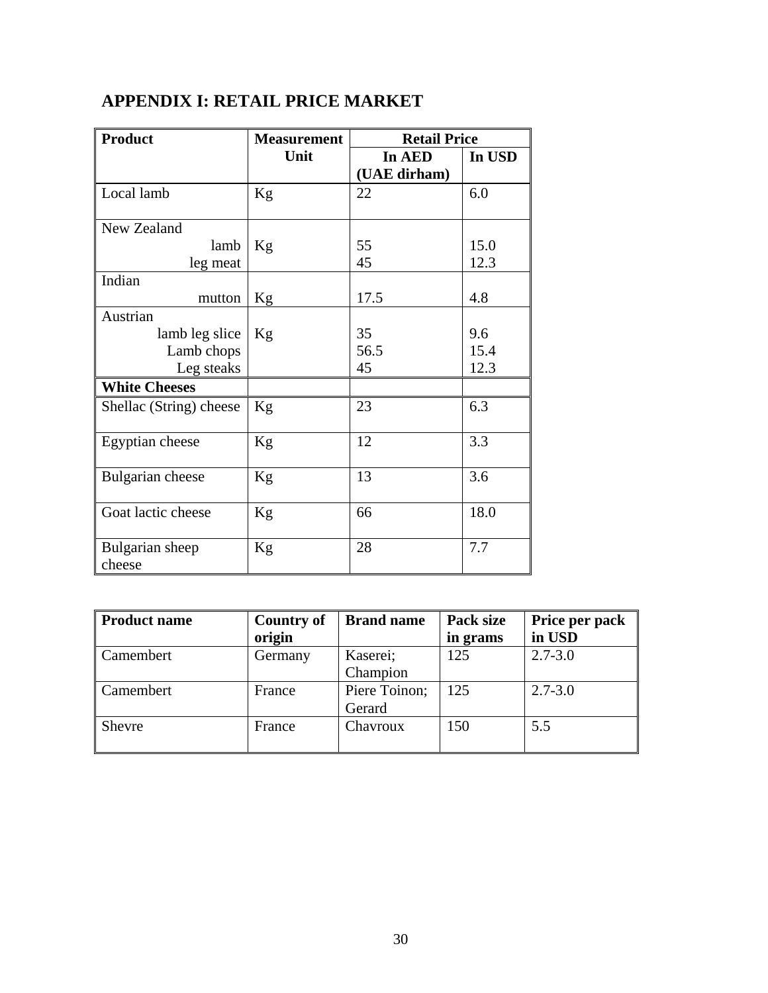| <b>Product</b>          | <b>Measurement</b> | <b>Retail Price</b> |        |
|-------------------------|--------------------|---------------------|--------|
|                         | Unit               | In AED              | In USD |
|                         |                    | (UAE dirham)        |        |
| Local lamb              | Kg                 | 22                  | 6.0    |
| New Zealand             |                    |                     |        |
| lamb                    | Kg                 | 55                  | 15.0   |
| leg meat                |                    | 45                  | 12.3   |
| Indian                  |                    |                     |        |
| mutton                  | Kg                 | 17.5                | 4.8    |
| Austrian                |                    |                     |        |
| lamb leg slice          | Kg                 | 35                  | 9.6    |
| Lamb chops              |                    | 56.5                | 15.4   |
| Leg steaks              |                    | 45                  | 12.3   |
| <b>White Cheeses</b>    |                    |                     |        |
| Shellac (String) cheese | Kg                 | 23                  | 6.3    |
|                         |                    |                     |        |
| Egyptian cheese         | Kg                 | 12                  | 3.3    |
| Bulgarian cheese        | Kg                 | 13                  | 3.6    |
|                         |                    |                     |        |
| Goat lactic cheese      | Kg                 | 66                  | 18.0   |
|                         |                    |                     |        |
| Bulgarian sheep         | Kg                 | 28                  | 7.7    |
| cheese                  |                    |                     |        |

# **APPENDIX I: RETAIL PRICE MARKET**

| <b>Product name</b> | <b>Country of</b> | <b>Brand name</b> | Pack size | Price per pack |
|---------------------|-------------------|-------------------|-----------|----------------|
|                     | origin            |                   | in grams  | in USD         |
| Camembert           | Germany           | Kaserei;          | 125       | $2.7 - 3.0$    |
|                     |                   | Champion          |           |                |
| Camembert           | France            | Piere Toinon;     | 125       | $2.7 - 3.0$    |
|                     |                   | Gerard            |           |                |
| Shevre              | France            | Chavroux          | 150       | 5.5            |
|                     |                   |                   |           |                |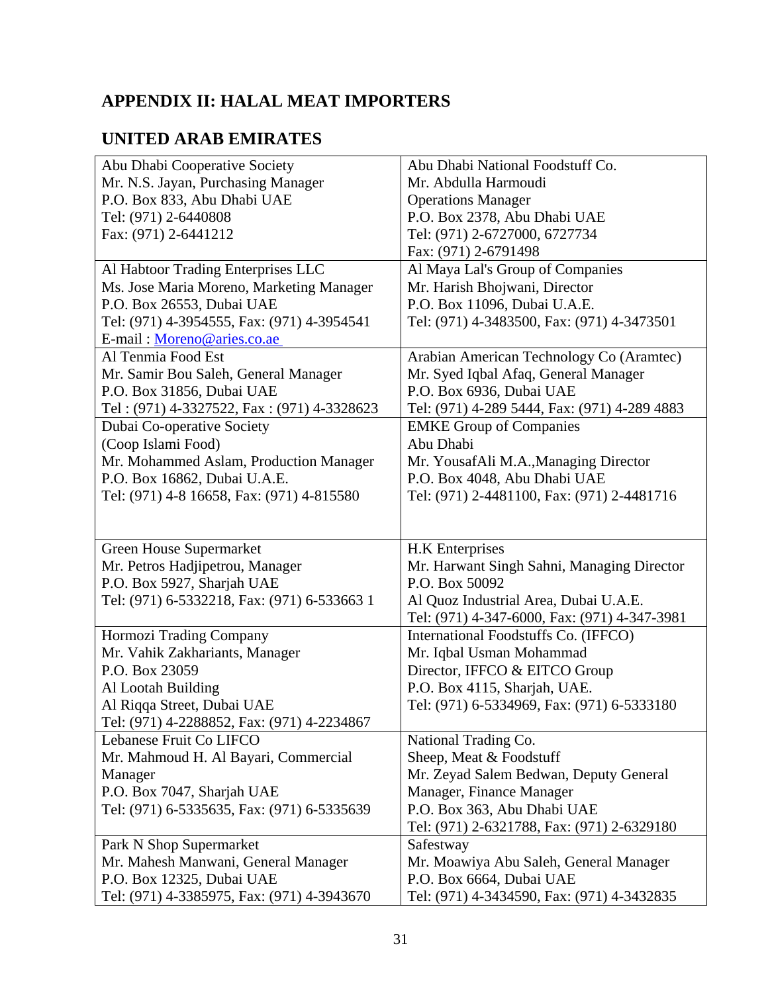# **APPENDIX II: HALAL MEAT IMPORTERS**

# **UNITED ARAB EMIRATES**

| Abu Dhabi Cooperative Society                                           | Abu Dhabi National Foodstuff Co.                                       |
|-------------------------------------------------------------------------|------------------------------------------------------------------------|
| Mr. N.S. Jayan, Purchasing Manager                                      | Mr. Abdulla Harmoudi                                                   |
| P.O. Box 833, Abu Dhabi UAE                                             | <b>Operations Manager</b>                                              |
| Tel: (971) 2-6440808                                                    | P.O. Box 2378, Abu Dhabi UAE                                           |
| Fax: (971) 2-6441212                                                    | Tel: (971) 2-6727000, 6727734                                          |
|                                                                         | Fax: (971) 2-6791498                                                   |
| Al Habtoor Trading Enterprises LLC                                      | Al Maya Lal's Group of Companies                                       |
| Ms. Jose Maria Moreno, Marketing Manager                                | Mr. Harish Bhojwani, Director                                          |
| P.O. Box 26553, Dubai UAE                                               | P.O. Box 11096, Dubai U.A.E.                                           |
| Tel: (971) 4-3954555, Fax: (971) 4-3954541                              | Tel: (971) 4-3483500, Fax: (971) 4-3473501                             |
| E-mail: Moreno@aries.co.ae                                              |                                                                        |
| Al Tenmia Food Est                                                      | Arabian American Technology Co (Aramtec)                               |
| Mr. Samir Bou Saleh, General Manager                                    | Mr. Syed Iqbal Afaq, General Manager                                   |
|                                                                         |                                                                        |
| P.O. Box 31856, Dubai UAE                                               | P.O. Box 6936, Dubai UAE                                               |
| Tel: (971) 4-3327522, Fax: (971) 4-3328623                              | Tel: (971) 4-289 5444, Fax: (971) 4-289 4883                           |
| Dubai Co-operative Society                                              | <b>EMKE Group of Companies</b>                                         |
| (Coop Islami Food)                                                      | Abu Dhabi                                                              |
| Mr. Mohammed Aslam, Production Manager                                  | Mr. YousafAli M.A., Managing Director                                  |
| P.O. Box 16862, Dubai U.A.E.                                            | P.O. Box 4048, Abu Dhabi UAE                                           |
| Tel: (971) 4-8 16658, Fax: (971) 4-815580                               | Tel: (971) 2-4481100, Fax: (971) 2-4481716                             |
|                                                                         |                                                                        |
| <b>Green House Supermarket</b>                                          | H.K Enterprises                                                        |
| Mr. Petros Hadjipetrou, Manager                                         | Mr. Harwant Singh Sahni, Managing Director                             |
| P.O. Box 5927, Sharjah UAE                                              | P.O. Box 50092                                                         |
| Tel: (971) 6-5332218, Fax: (971) 6-533663 1                             | Al Quoz Industrial Area, Dubai U.A.E.                                  |
|                                                                         | Tel: (971) 4-347-6000, Fax: (971) 4-347-3981                           |
| Hormozi Trading Company                                                 | International Foodstuffs Co. (IFFCO)                                   |
| Mr. Vahik Zakhariants, Manager                                          | Mr. Iqbal Usman Mohammad                                               |
| P.O. Box 23059                                                          | Director, IFFCO & EITCO Group                                          |
| Al Lootah Building                                                      | P.O. Box 4115, Sharjah, UAE.                                           |
| Al Riqqa Street, Dubai UAE                                              | Tel: (971) 6-5334969, Fax: (971) 6-5333180                             |
| Tel: (971) 4-2288852, Fax: (971) 4-2234867                              |                                                                        |
| Lebanese Fruit Co LIFCO                                                 | National Trading Co.                                                   |
| Mr. Mahmoud H. Al Bayari, Commercial                                    | Sheep, Meat & Foodstuff                                                |
| Manager                                                                 | Mr. Zeyad Salem Bedwan, Deputy General                                 |
| P.O. Box 7047, Sharjah UAE                                              | Manager, Finance Manager                                               |
| Tel: (971) 6-5335635, Fax: (971) 6-5335639                              | P.O. Box 363, Abu Dhabi UAE                                            |
|                                                                         | Tel: (971) 2-6321788, Fax: (971) 2-6329180                             |
| Park N Shop Supermarket                                                 | Safestway                                                              |
| Mr. Mahesh Manwani, General Manager                                     |                                                                        |
|                                                                         |                                                                        |
|                                                                         | Mr. Moawiya Abu Saleh, General Manager                                 |
| P.O. Box 12325, Dubai UAE<br>Tel: (971) 4-3385975, Fax: (971) 4-3943670 | P.O. Box 6664, Dubai UAE<br>Tel: (971) 4-3434590, Fax: (971) 4-3432835 |